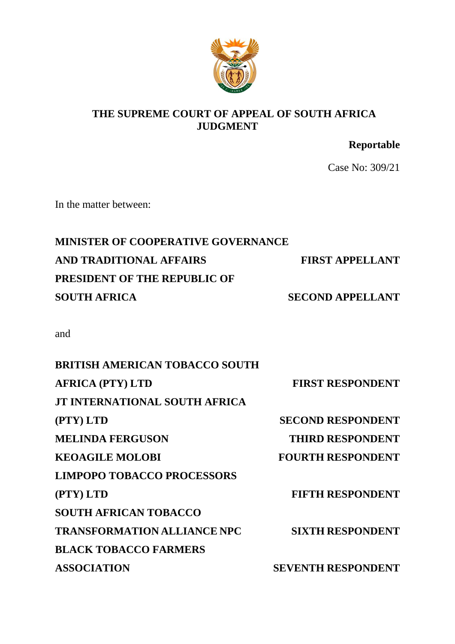

### **THE SUPREME COURT OF APPEAL OF SOUTH AFRICA JUDGMENT**

**Reportable**

Case No: 309/21

In the matter between:

# **MINISTER OF COOPERATIVE GOVERNANCE AND TRADITIONAL AFFAIRS FIRST APPELLANT PRESIDENT OF THE REPUBLIC OF SOUTH AFRICA** SECOND APPELLANT

and

| <b>BRITISH AMERICAN TOBACCO SOUTH</b> |                           |
|---------------------------------------|---------------------------|
| <b>AFRICA (PTY) LTD</b>               | <b>FIRST RESPONDENT</b>   |
| <b>JT INTERNATIONAL SOUTH AFRICA</b>  |                           |
| (PTY) LTD                             | <b>SECOND RESPONDENT</b>  |
| <b>MELINDA FERGUSON</b>               | <b>THIRD RESPONDENT</b>   |
| <b>KEOAGILE MOLOBI</b>                | <b>FOURTH RESPONDENT</b>  |
| <b>LIMPOPO TOBACCO PROCESSORS</b>     |                           |
| (PTY) LTD                             | <b>FIFTH RESPONDENT</b>   |
| <b>SOUTH AFRICAN TOBACCO</b>          |                           |
| <b>TRANSFORMATION ALLIANCE NPC</b>    | <b>SIXTH RESPONDENT</b>   |
| <b>BLACK TOBACCO FARMERS</b>          |                           |
| <b>ASSOCIATION</b>                    | <b>SEVENTH RESPONDENT</b> |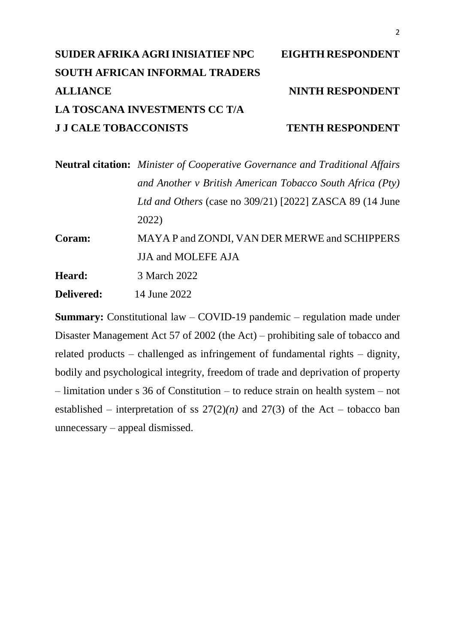# **SUIDER AFRIKA AGRI INISIATIEF NPC EIGHTH RESPONDENT SOUTH AFRICAN INFORMAL TRADERS** ALLIANCE NINTH RESPONDENT **LA TOSCANA INVESTMENTS CC T/A J J CALE TOBACCONISTS TENTH RESPONDENT**

**Neutral citation:** *Minister of Cooperative Governance and Traditional Affairs and Another v British American Tobacco South Africa (Pty) Ltd and Others* (case no 309/21) [2022] ZASCA 89 (14 June 2022) **Coram:** MAYA P and ZONDI, VAN DER MERWE and SCHIPPERS JJA and MOLEFE AJA

**Heard:** 3 March 2022

**Delivered:** 14 June 2022

**Summary:** Constitutional law – COVID-19 pandemic – regulation made under Disaster Management Act 57 of 2002 (the Act) – prohibiting sale of tobacco and related products – challenged as infringement of fundamental rights – dignity, bodily and psychological integrity, freedom of trade and deprivation of property – limitation under s 36 of Constitution – to reduce strain on health system – not established – interpretation of ss  $27(2)(n)$  and  $27(3)$  of the Act – tobacco ban unnecessary – appeal dismissed.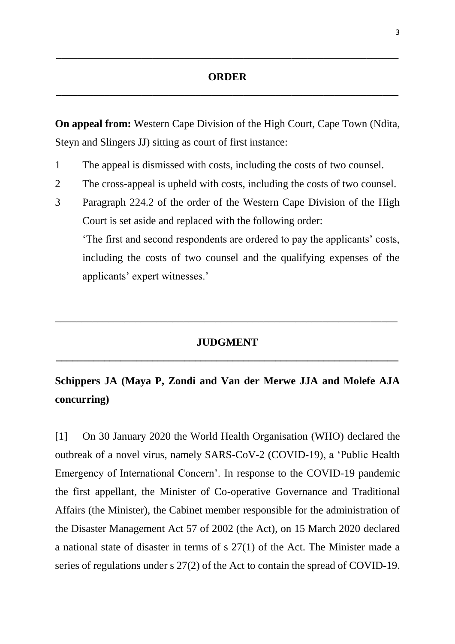### **ORDER \_\_\_\_\_\_\_\_\_\_\_\_\_\_\_\_\_\_\_\_\_\_\_\_\_\_\_\_\_\_\_\_\_\_\_\_\_\_\_\_\_\_\_\_\_\_\_\_\_\_\_\_\_\_\_\_\_\_\_\_\_\_\_\_**

**\_\_\_\_\_\_\_\_\_\_\_\_\_\_\_\_\_\_\_\_\_\_\_\_\_\_\_\_\_\_\_\_\_\_\_\_\_\_\_\_\_\_\_\_\_\_\_\_\_\_\_\_\_\_\_\_\_\_\_\_\_\_\_\_**

**On appeal from:** Western Cape Division of the High Court, Cape Town (Ndita, Steyn and Slingers JJ) sitting as court of first instance:

- 1 The appeal is dismissed with costs, including the costs of two counsel.
- 2 The cross-appeal is upheld with costs, including the costs of two counsel.
- 3 Paragraph 224.2 of the order of the Western Cape Division of the High Court is set aside and replaced with the following order:

'The first and second respondents are ordered to pay the applicants' costs, including the costs of two counsel and the qualifying expenses of the applicants' expert witnesses.'

## **JUDGMENT \_\_\_\_\_\_\_\_\_\_\_\_\_\_\_\_\_\_\_\_\_\_\_\_\_\_\_\_\_\_\_\_\_\_\_\_\_\_\_\_\_\_\_\_\_\_\_\_\_\_\_\_\_\_\_\_\_\_\_\_\_\_\_\_**

\_\_\_\_\_\_\_\_\_\_\_\_\_\_\_\_\_\_\_\_\_\_\_\_\_\_\_\_\_\_\_\_\_\_\_\_\_\_\_\_\_\_\_\_\_\_\_\_\_\_\_\_\_\_\_\_\_\_\_\_\_\_\_\_

## **Schippers JA (Maya P, Zondi and Van der Merwe JJA and Molefe AJA concurring)**

[1] On 30 January 2020 the World Health Organisation (WHO) declared the outbreak of a novel virus, namely SARS-CoV-2 (COVID-19), a 'Public Health Emergency of International Concern'. In response to the COVID-19 pandemic the first appellant, the Minister of Co-operative Governance and Traditional Affairs (the Minister), the Cabinet member responsible for the administration of the Disaster Management Act 57 of 2002 (the Act), on 15 March 2020 declared a national state of disaster in terms of s 27(1) of the Act. The Minister made a series of regulations under s 27(2) of the Act to contain the spread of COVID-19.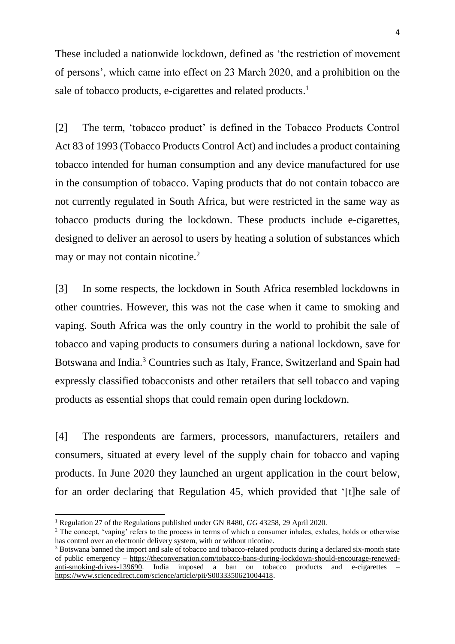These included a nationwide lockdown, defined as 'the restriction of movement of persons', which came into effect on 23 March 2020, and a prohibition on the sale of tobacco products, e-cigarettes and related products.<sup>1</sup>

[2] The term, 'tobacco product' is defined in the Tobacco Products Control Act 83 of 1993 (Tobacco Products Control Act) and includes a product containing tobacco intended for human consumption and any device manufactured for use in the consumption of tobacco. Vaping products that do not contain tobacco are not currently regulated in South Africa, but were restricted in the same way as tobacco products during the lockdown. These products include e-cigarettes, designed to deliver an aerosol to users by heating a solution of substances which may or may not contain nicotine.<sup>2</sup>

[3] In some respects, the lockdown in South Africa resembled lockdowns in other countries. However, this was not the case when it came to smoking and vaping. South Africa was the only country in the world to prohibit the sale of tobacco and vaping products to consumers during a national lockdown, save for Botswana and India.<sup>3</sup> Countries such as Italy, France, Switzerland and Spain had expressly classified tobacconists and other retailers that sell tobacco and vaping products as essential shops that could remain open during lockdown.

[4] The respondents are farmers, processors, manufacturers, retailers and consumers, situated at every level of the supply chain for tobacco and vaping products. In June 2020 they launched an urgent application in the court below, for an order declaring that Regulation 45, which provided that '[t]he sale of

<sup>1</sup> Regulation 27 of the Regulations published under GN R480, *GG* 43258, 29 April 2020.

<sup>&</sup>lt;sup>2</sup> The concept, 'vaping' refers to the process in terms of which a consumer inhales, exhales, holds or otherwise has control over an electronic delivery system, with or without nicotine.

<sup>&</sup>lt;sup>3</sup> Botswana banned the import and sale of tobacco and tobacco-related products during a declared six-month state [of public emergency](https://iharare.com/botswana-national-lockdown/) – [https://theconversation.com/tobacco-bans-during-lockdown-should-encourage-renewed](https://theconversation.com/tobacco-bans-during-lockdown-should-encourage-renewed-anti-smoking-drives-139690)[anti-smoking-drives-139690.](https://theconversation.com/tobacco-bans-during-lockdown-should-encourage-renewed-anti-smoking-drives-139690) India imposed a ban on tobacco products and e-cigarettes – [https://www.sciencedirect.com/science/article/pii/S0033350621004418.](https://www.sciencedirect.com/science/article/pii/S0033350621004418)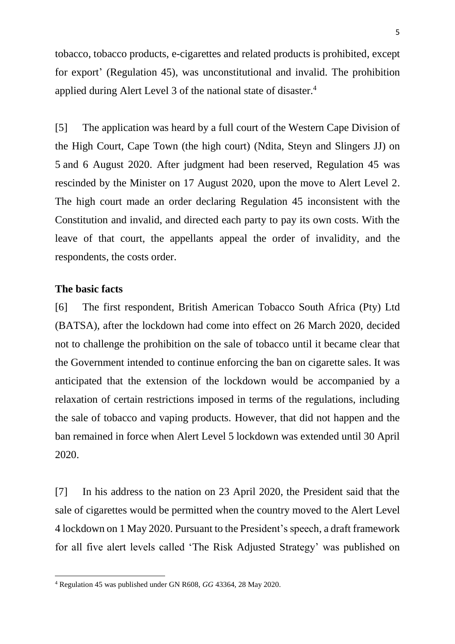tobacco, tobacco products, e-cigarettes and related products is prohibited, except for export' (Regulation 45), was unconstitutional and invalid. The prohibition applied during Alert Level 3 of the national state of disaster.<sup>4</sup>

[5] The application was heard by a full court of the Western Cape Division of the High Court, Cape Town (the high court) (Ndita, Steyn and Slingers JJ) on 5 and 6 August 2020. After judgment had been reserved, Regulation 45 was rescinded by the Minister on 17 August 2020, upon the move to Alert Level 2. The high court made an order declaring Regulation 45 inconsistent with the Constitution and invalid, and directed each party to pay its own costs. With the leave of that court, the appellants appeal the order of invalidity, and the respondents, the costs order.

#### **The basic facts**

**.** 

[6] The first respondent, British American Tobacco South Africa (Pty) Ltd (BATSA), after the lockdown had come into effect on 26 March 2020, decided not to challenge the prohibition on the sale of tobacco until it became clear that the Government intended to continue enforcing the ban on cigarette sales. It was anticipated that the extension of the lockdown would be accompanied by a relaxation of certain restrictions imposed in terms of the regulations, including the sale of tobacco and vaping products. However, that did not happen and the ban remained in force when Alert Level 5 lockdown was extended until 30 April 2020.

[7] In his address to the nation on 23 April 2020, the President said that the sale of cigarettes would be permitted when the country moved to the Alert Level 4 lockdown on 1 May 2020. Pursuant to the President's speech, a draft framework for all five alert levels called 'The Risk Adjusted Strategy' was published on

<sup>4</sup> Regulation 45 was published under GN R608, *GG* 43364, 28 May 2020.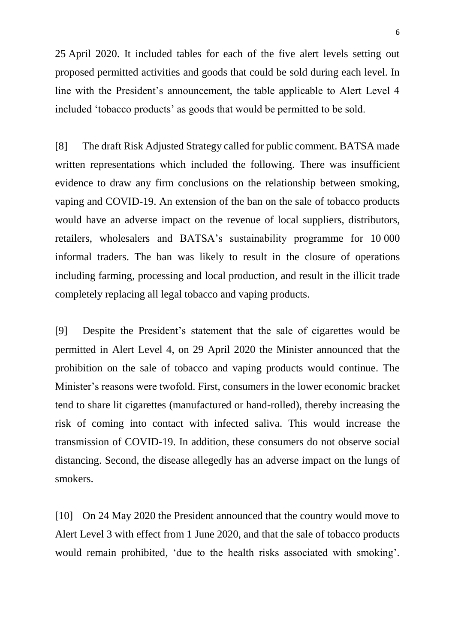25 April 2020. It included tables for each of the five alert levels setting out proposed permitted activities and goods that could be sold during each level. In line with the President's announcement, the table applicable to Alert Level 4 included 'tobacco products' as goods that would be permitted to be sold.

[8] The draft Risk Adjusted Strategy called for public comment. BATSA made written representations which included the following. There was insufficient evidence to draw any firm conclusions on the relationship between smoking, vaping and COVID-19. An extension of the ban on the sale of tobacco products would have an adverse impact on the revenue of local suppliers, distributors, retailers, wholesalers and BATSA's sustainability programme for 10 000 informal traders. The ban was likely to result in the closure of operations including farming, processing and local production, and result in the illicit trade completely replacing all legal tobacco and vaping products.

[9] Despite the President's statement that the sale of cigarettes would be permitted in Alert Level 4, on 29 April 2020 the Minister announced that the prohibition on the sale of tobacco and vaping products would continue. The Minister's reasons were twofold. First, consumers in the lower economic bracket tend to share lit cigarettes (manufactured or hand-rolled), thereby increasing the risk of coming into contact with infected saliva. This would increase the transmission of COVID-19. In addition, these consumers do not observe social distancing. Second, the disease allegedly has an adverse impact on the lungs of smokers.

[10] On 24 May 2020 the President announced that the country would move to Alert Level 3 with effect from 1 June 2020, and that the sale of tobacco products would remain prohibited, 'due to the health risks associated with smoking'.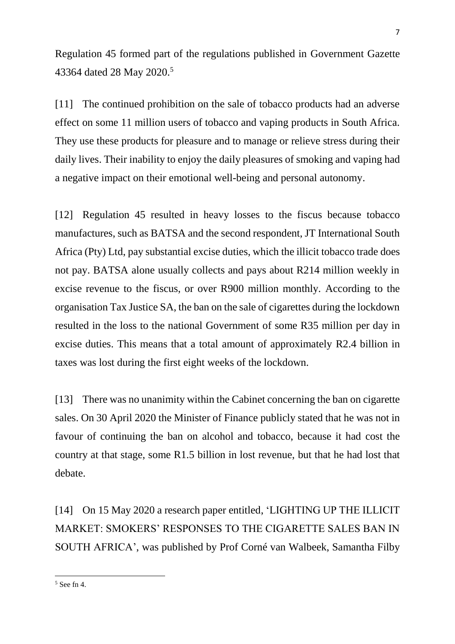Regulation 45 formed part of the regulations published in Government Gazette 43364 dated 28 May 2020.<sup>5</sup>

[11] The continued prohibition on the sale of tobacco products had an adverse effect on some 11 million users of tobacco and vaping products in South Africa. They use these products for pleasure and to manage or relieve stress during their daily lives. Their inability to enjoy the daily pleasures of smoking and vaping had a negative impact on their emotional well-being and personal autonomy.

[12] Regulation 45 resulted in heavy losses to the fiscus because tobacco manufactures, such as BATSA and the second respondent, JT International South Africa (Pty) Ltd, pay substantial excise duties, which the illicit tobacco trade does not pay. BATSA alone usually collects and pays about R214 million weekly in excise revenue to the fiscus, or over R900 million monthly. According to the organisation Tax Justice SA, the ban on the sale of cigarettes during the lockdown resulted in the loss to the national Government of some R35 million per day in excise duties. This means that a total amount of approximately R2.4 billion in taxes was lost during the first eight weeks of the lockdown.

[13] There was no unanimity within the Cabinet concerning the ban on cigarette sales. On 30 April 2020 the Minister of Finance publicly stated that he was not in favour of continuing the ban on alcohol and tobacco, because it had cost the country at that stage, some R1.5 billion in lost revenue, but that he had lost that debate.

[14] On 15 May 2020 a research paper entitled, 'LIGHTING UP THE ILLICIT MARKET: SMOKERS' RESPONSES TO THE CIGARETTE SALES BAN IN SOUTH AFRICA', was published by Prof Corné van Walbeek, Samantha Filby

<sup>5</sup> See fn 4.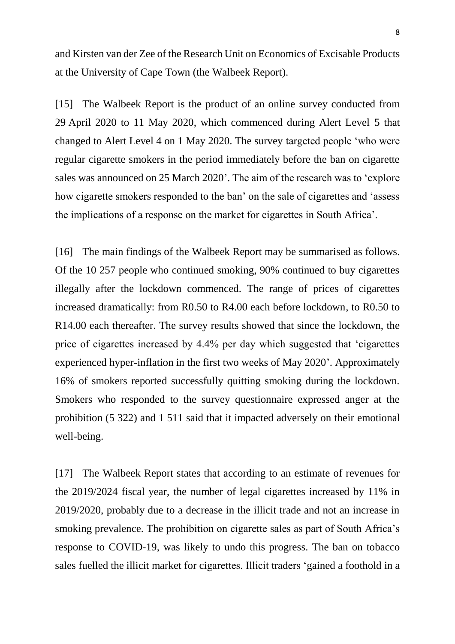and Kirsten van der Zee of the Research Unit on Economics of Excisable Products at the University of Cape Town (the Walbeek Report).

[15] The Walbeek Report is the product of an online survey conducted from 29 April 2020 to 11 May 2020, which commenced during Alert Level 5 that changed to Alert Level 4 on 1 May 2020. The survey targeted people 'who were regular cigarette smokers in the period immediately before the ban on cigarette sales was announced on 25 March 2020'. The aim of the research was to 'explore how cigarette smokers responded to the ban' on the sale of cigarettes and 'assess the implications of a response on the market for cigarettes in South Africa'.

[16] The main findings of the Walbeek Report may be summarised as follows. Of the 10 257 people who continued smoking, 90% continued to buy cigarettes illegally after the lockdown commenced. The range of prices of cigarettes increased dramatically: from R0.50 to R4.00 each before lockdown, to R0.50 to R14.00 each thereafter. The survey results showed that since the lockdown, the price of cigarettes increased by 4.4% per day which suggested that 'cigarettes experienced hyper-inflation in the first two weeks of May 2020'. Approximately 16% of smokers reported successfully quitting smoking during the lockdown. Smokers who responded to the survey questionnaire expressed anger at the prohibition (5 322) and 1 511 said that it impacted adversely on their emotional well-being.

[17] The Walbeek Report states that according to an estimate of revenues for the 2019/2024 fiscal year, the number of legal cigarettes increased by 11% in 2019/2020, probably due to a decrease in the illicit trade and not an increase in smoking prevalence. The prohibition on cigarette sales as part of South Africa's response to COVID-19, was likely to undo this progress. The ban on tobacco sales fuelled the illicit market for cigarettes. Illicit traders 'gained a foothold in a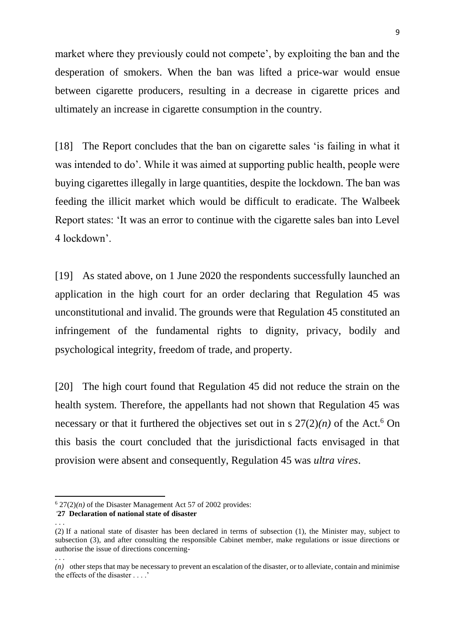market where they previously could not compete', by exploiting the ban and the desperation of smokers. When the ban was lifted a price-war would ensue between cigarette producers, resulting in a decrease in cigarette prices and ultimately an increase in cigarette consumption in the country.

[18] The Report concludes that the ban on cigarette sales 'is failing in what it was intended to do'. While it was aimed at supporting public health, people were buying cigarettes illegally in large quantities, despite the lockdown. The ban was feeding the illicit market which would be difficult to eradicate. The Walbeek Report states: 'It was an error to continue with the cigarette sales ban into Level 4 lockdown'.

[19] As stated above, on 1 June 2020 the respondents successfully launched an application in the high court for an order declaring that Regulation 45 was unconstitutional and invalid. The grounds were that Regulation 45 constituted an infringement of the fundamental rights to dignity, privacy, bodily and psychological integrity, freedom of trade, and property.

[20] The high court found that Regulation 45 did not reduce the strain on the health system. Therefore, the appellants had not shown that Regulation 45 was necessary or that it furthered the objectives set out in s  $27(2)(n)$  of the Act.<sup>6</sup> On this basis the court concluded that the jurisdictional facts envisaged in that provision were absent and consequently, Regulation 45 was *ultra vires*.

. . .

 $6$  27(2)(*n*) of the Disaster Management Act 57 of 2002 provides:

*<sup>&#</sup>x27;***[27](https://jutastat.juta.co.za/nxt/foliolinks.asp?f=xhitlist&xhitlist_x=Advanced&xhitlist_vpc=first&xhitlist_xsl=querylink.xsl&xhitlist_sel=title;path;content-type;home-title&xhitlist_d=%7bstatreg%7d&xhitlist_q=%5bfield%20folio-destination-name:%27LJC_a57y2002s27%27%5d&xhitlist_md=target-id=0-0-0-564099) Declaration of national state of disaster**

<sup>. . .</sup> 

[<sup>\(2\)</sup>](https://jutastat.juta.co.za/nxt/foliolinks.asp?f=xhitlist&xhitlist_x=Advanced&xhitlist_vpc=first&xhitlist_xsl=querylink.xsl&xhitlist_sel=title;path;content-type;home-title&xhitlist_d=%7bstatreg%7d&xhitlist_q=%5bfield%20folio-destination-name:%27LJC_a57y2002s27(2)%27%5d&xhitlist_md=target-id=0-0-0-564107) If a national state of disaster has been declared in terms of subsection (1), the Minister may, subject to subsection (3), and after consulting the responsible Cabinet member, make regulations or issue directions or authorise the issue of directions concerning-

*<sup>(</sup>n)* other steps that may be necessary to prevent an escalation of the disaster, or to alleviate, contain and minimise the effects of the disaster . . . .'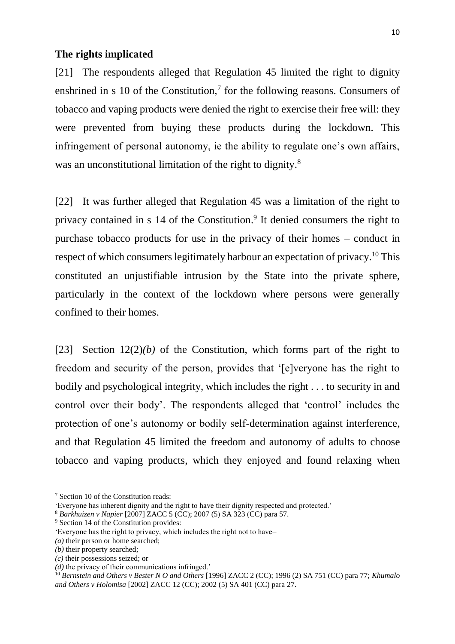#### **The rights implicated**

[21] The respondents alleged that Regulation 45 limited the right to dignity enshrined in s 10 of the Constitution, $<sup>7</sup>$  for the following reasons. Consumers of</sup> tobacco and vaping products were denied the right to exercise their free will: they were prevented from buying these products during the lockdown. This infringement of personal autonomy, ie the ability to regulate one's own affairs, was an unconstitutional limitation of the right to dignity.<sup>8</sup>

[22] It was further alleged that Regulation 45 was a limitation of the right to privacy contained in s 14 of the Constitution.<sup>9</sup> It denied consumers the right to purchase tobacco products for use in the privacy of their homes – conduct in respect of which consumers legitimately harbour an expectation of privacy.<sup>10</sup> This constituted an unjustifiable intrusion by the State into the private sphere, particularly in the context of the lockdown where persons were generally confined to their homes.

[23] Section  $12(2)(b)$  of the Constitution, which forms part of the right to freedom and security of the person, provides that '[e]veryone has the right to bodily and psychological integrity, which includes the right . . . to security in and control over their body'. The respondents alleged that 'control' includes the protection of one's autonomy or bodily self-determination against interference, and that Regulation 45 limited the freedom and autonomy of adults to choose tobacco and vaping products, which they enjoyed and found relaxing when

<sup>7</sup> Section 10 of the Constitution reads:

<sup>&#</sup>x27;Everyone has inherent dignity and the right to have their dignity respected and protected.'

<sup>8</sup> *Barkhuizen v Napier* [2007] ZACC 5 (CC); 2007 (5) SA 323 (CC) para 57.

<sup>&</sup>lt;sup>9</sup> Section 14 of the Constitution provides:

<sup>&#</sup>x27;Everyone has the right to privacy, which includes the right not to have–

*<sup>(</sup>a)* their person or home searched;

*<sup>(</sup>b)* their property searched;

*<sup>(</sup>c)* their possessions seized; or

*<sup>(</sup>d)* the privacy of their communications infringed.'

<sup>10</sup> *Bernstein and Others v Bester N O and Others* [1996] ZACC 2 (CC); 1996 (2) SA 751 (CC) para 77; *Khumalo and Others v Holomisa* [2002] ZACC 12 (CC); 2002 (5) SA 401 (CC) para 27.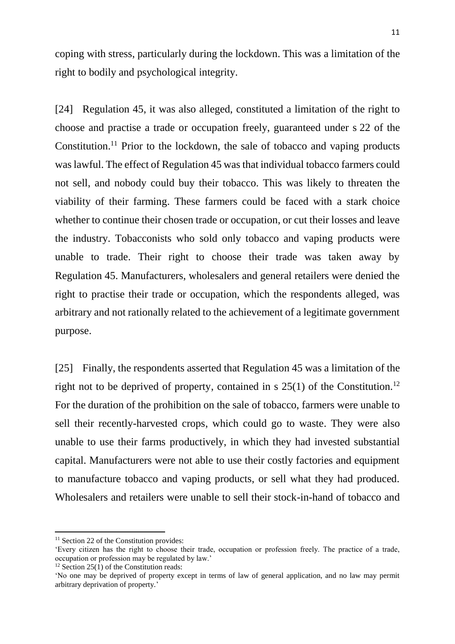coping with stress, particularly during the lockdown. This was a limitation of the right to bodily and psychological integrity.

[24] Regulation 45, it was also alleged, constituted a limitation of the right to choose and practise a trade or occupation freely, guaranteed under s 22 of the Constitution.<sup>11</sup> Prior to the lockdown, the sale of tobacco and vaping products was lawful. The effect of Regulation 45 was that individual tobacco farmers could not sell, and nobody could buy their tobacco. This was likely to threaten the viability of their farming. These farmers could be faced with a stark choice whether to continue their chosen trade or occupation, or cut their losses and leave the industry. Tobacconists who sold only tobacco and vaping products were unable to trade. Their right to choose their trade was taken away by Regulation 45. Manufacturers, wholesalers and general retailers were denied the right to practise their trade or occupation, which the respondents alleged, was arbitrary and not rationally related to the achievement of a legitimate government purpose.

[25] Finally, the respondents asserted that Regulation 45 was a limitation of the right not to be deprived of property, contained in s  $25(1)$  of the Constitution.<sup>12</sup> For the duration of the prohibition on the sale of tobacco, farmers were unable to sell their recently-harvested crops, which could go to waste. They were also unable to use their farms productively, in which they had invested substantial capital. Manufacturers were not able to use their costly factories and equipment to manufacture tobacco and vaping products, or sell what they had produced. Wholesalers and retailers were unable to sell their stock-in-hand of tobacco and

1

<sup>&</sup>lt;sup>11</sup> Section 22 of the Constitution provides:

<sup>&#</sup>x27;Every citizen has the right to choose their trade, occupation or profession freely. The practice of a trade, occupation or profession may be regulated by law.'

<sup>&</sup>lt;sup>12</sup> Section 25(1) of the Constitution reads:

<sup>&#</sup>x27;No one may be deprived of property except in terms of law of general application, and no law may permit arbitrary deprivation of property.'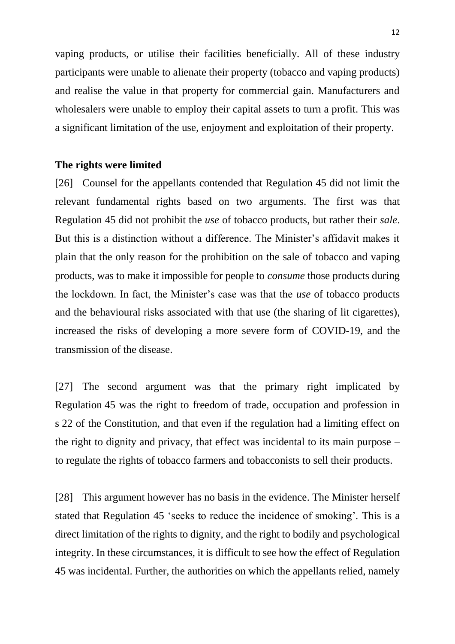vaping products, or utilise their facilities beneficially. All of these industry participants were unable to alienate their property (tobacco and vaping products) and realise the value in that property for commercial gain. Manufacturers and wholesalers were unable to employ their capital assets to turn a profit. This was a significant limitation of the use, enjoyment and exploitation of their property.

#### **The rights were limited**

[26] Counsel for the appellants contended that Regulation 45 did not limit the relevant fundamental rights based on two arguments. The first was that Regulation 45 did not prohibit the *use* of tobacco products, but rather their *sale*. But this is a distinction without a difference. The Minister's affidavit makes it plain that the only reason for the prohibition on the sale of tobacco and vaping products, was to make it impossible for people to *consume* those products during the lockdown. In fact, the Minister's case was that the *use* of tobacco products and the behavioural risks associated with that use (the sharing of lit cigarettes), increased the risks of developing a more severe form of COVID-19, and the transmission of the disease.

[27] The second argument was that the primary right implicated by Regulation 45 was the right to freedom of trade, occupation and profession in s 22 of the Constitution, and that even if the regulation had a limiting effect on the right to dignity and privacy, that effect was incidental to its main purpose – to regulate the rights of tobacco farmers and tobacconists to sell their products.

[28] This argument however has no basis in the evidence. The Minister herself stated that Regulation 45 'seeks to reduce the incidence of smoking'. This is a direct limitation of the rights to dignity, and the right to bodily and psychological integrity. In these circumstances, it is difficult to see how the effect of Regulation 45 was incidental. Further, the authorities on which the appellants relied, namely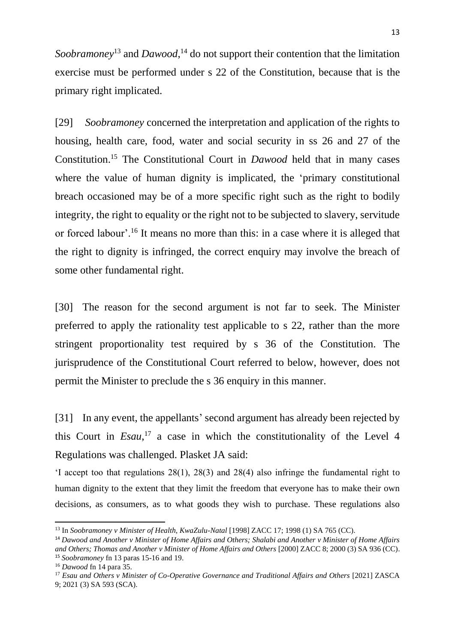Soobramoney<sup>13</sup> and Dawood,<sup>14</sup> do not support their contention that the limitation exercise must be performed under s 22 of the Constitution, because that is the primary right implicated.

[29] *Soobramoney* concerned the interpretation and application of the rights to housing, health care, food, water and social security in ss 26 and 27 of the Constitution.<sup>15</sup> The Constitutional Court in *Dawood* held that in many cases where the value of human dignity is implicated, the 'primary constitutional breach occasioned may be of a more specific right such as the right to bodily integrity, the right to equality or the right not to be subjected to slavery, servitude or forced labour'.<sup>16</sup> It means no more than this: in a case where it is alleged that the right to dignity is infringed, the correct enquiry may involve the breach of some other fundamental right.

[30] The reason for the second argument is not far to seek. The Minister preferred to apply the rationality test applicable to s 22, rather than the more stringent proportionality test required by s 36 of the Constitution. The jurisprudence of the Constitutional Court referred to below, however, does not permit the Minister to preclude the s 36 enquiry in this manner.

[31] In any event, the appellants' second argument has already been rejected by this Court in  $E_s$ <sub>1</sub>,<sup>17</sup> a case in which the constitutionality of the Level 4 Regulations was challenged. Plasket JA said:

'I accept too that regulations 28(1), 28(3) and 28(4) also infringe the fundamental right to human dignity to the extent that they limit the freedom that everyone has to make their own decisions, as consumers, as to what goods they wish to purchase. These regulations also

<sup>13</sup> In *Soobramoney v Minister of Health, KwaZulu-Natal* [1998] ZACC 17; 1998 (1) SA 765 (CC).

<sup>14</sup> *Dawood and Another v Minister of Home Affairs and Others; Shalabi and Another v Minister of Home Affairs and Others; Thomas and Another v Minister of Home Affairs and Others* [2000] ZACC 8; 2000 (3) SA 936 (CC). <sup>15</sup> *Soobramoney* fn 13 paras 15-16 and 19.

<sup>16</sup> *Dawood* fn 14 para 35.

<sup>17</sup> *Esau and Others v Minister of Co-Operative Governance and Traditional Affairs and Others* [2021] ZASCA 9; 2021 (3) SA 593 (SCA).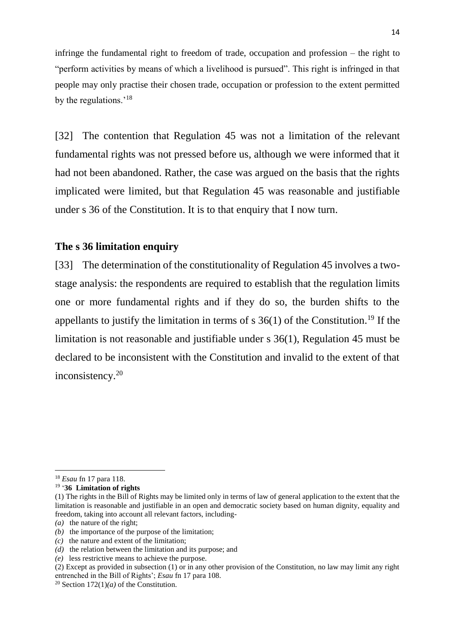infringe the fundamental right to freedom of trade, occupation and profession – the right to "perform activities by means of which a livelihood is pursued". This right is infringed in that people may only practise their chosen trade, occupation or profession to the extent permitted by the regulations.'<sup>18</sup>

[32] The contention that Regulation 45 was not a limitation of the relevant fundamental rights was not pressed before us, although we were informed that it had not been abandoned. Rather, the case was argued on the basis that the rights implicated were limited, but that Regulation 45 was reasonable and justifiable under s 36 of the Constitution. It is to that enquiry that I now turn.

#### **The s 36 limitation enquiry**

[33] The determination of the constitutionality of Regulation 45 involves a twostage analysis: the respondents are required to establish that the regulation limits one or more fundamental rights and if they do so, the burden shifts to the appellants to justify the limitation in terms of  $s$  36(1) of the Constitution.<sup>19</sup> If the limitation is not reasonable and justifiable under s 36(1), Regulation 45 must be declared to be inconsistent with the Constitution and invalid to the extent of that inconsistency.<sup>20</sup>

 $\overline{a}$ 

<sup>18</sup> *Esau* fn 17 para 118.

<sup>19</sup> '**[36](https://jutastat.juta.co.za/nxt/foliolinks.asp?f=xhitlist&xhitlist_x=Advanced&xhitlist_vpc=first&xhitlist_xsl=querylink.xsl&xhitlist_sel=title;path;content-type;home-title&xhitlist_d=%7bstatreg%7d&xhitlist_q=%5bfield%20folio-destination-name:%27LJC_a108y1996s36%27%5d&xhitlist_md=target-id=0-0-0-115571) Limitation of rights**

[<sup>\(1\)</sup>](https://jutastat.juta.co.za/nxt/foliolinks.asp?f=xhitlist&xhitlist_x=Advanced&xhitlist_vpc=first&xhitlist_xsl=querylink.xsl&xhitlist_sel=title;path;content-type;home-title&xhitlist_d=%7bstatreg%7d&xhitlist_q=%5bfield%20folio-destination-name:%27LJC_a108y1996s36(1)%27%5d&xhitlist_md=target-id=0-0-0-115575) The rights in the Bill of Rights may be limited only in terms of law of general application to the extent that the limitation is reasonable and justifiable in an open and democratic society based on human dignity, equality and freedom, taking into account all relevant factors, including-

*[\(a\)](https://jutastat.juta.co.za/nxt/foliolinks.asp?f=xhitlist&xhitlist_x=Advanced&xhitlist_vpc=first&xhitlist_xsl=querylink.xsl&xhitlist_sel=title;path;content-type;home-title&xhitlist_d=%7bstatreg%7d&xhitlist_q=%5bfield%20folio-destination-name:%27LJC_a108y1996s36(1)(a)%27%5d&xhitlist_md=target-id=0-0-0-115579)* the nature of the right;

*[<sup>\(</sup>b\)](https://jutastat.juta.co.za/nxt/foliolinks.asp?f=xhitlist&xhitlist_x=Advanced&xhitlist_vpc=first&xhitlist_xsl=querylink.xsl&xhitlist_sel=title;path;content-type;home-title&xhitlist_d=%7bstatreg%7d&xhitlist_q=%5bfield%20folio-destination-name:%27LJC_a108y1996s36(1)(b)%27%5d&xhitlist_md=target-id=0-0-0-115583)* the importance of the purpose of the limitation;

*[\(c\)](https://jutastat.juta.co.za/nxt/foliolinks.asp?f=xhitlist&xhitlist_x=Advanced&xhitlist_vpc=first&xhitlist_xsl=querylink.xsl&xhitlist_sel=title;path;content-type;home-title&xhitlist_d=%7bstatreg%7d&xhitlist_q=%5bfield%20folio-destination-name:%27LJC_a108y1996s36(1)(c)%27%5d&xhitlist_md=target-id=0-0-0-115587)* the nature and extent of the limitation;

*[\(d\)](https://jutastat.juta.co.za/nxt/foliolinks.asp?f=xhitlist&xhitlist_x=Advanced&xhitlist_vpc=first&xhitlist_xsl=querylink.xsl&xhitlist_sel=title;path;content-type;home-title&xhitlist_d=%7bstatreg%7d&xhitlist_q=%5bfield%20folio-destination-name:%27LJC_a108y1996s36(1)(d)%27%5d&xhitlist_md=target-id=0-0-0-115591)* the relation between the limitation and its purpose; and

*[\(e\)](https://jutastat.juta.co.za/nxt/foliolinks.asp?f=xhitlist&xhitlist_x=Advanced&xhitlist_vpc=first&xhitlist_xsl=querylink.xsl&xhitlist_sel=title;path;content-type;home-title&xhitlist_d=%7bstatreg%7d&xhitlist_q=%5bfield%20folio-destination-name:%27LJC_a108y1996s36(1)(e)%27%5d&xhitlist_md=target-id=0-0-0-115595)* less restrictive means to achieve the purpose.

[<sup>\(2\)</sup>](https://jutastat.juta.co.za/nxt/foliolinks.asp?f=xhitlist&xhitlist_x=Advanced&xhitlist_vpc=first&xhitlist_xsl=querylink.xsl&xhitlist_sel=title;path;content-type;home-title&xhitlist_d=%7bstatreg%7d&xhitlist_q=%5bfield%20folio-destination-name:%27LJC_a108y1996s36(2)%27%5d&xhitlist_md=target-id=0-0-0-115599) Except as provided in subsection (1) or in any other provision of the Constitution, no law may limit any right entrenched in the Bill of Rights'; *Esau* fn 17 para 108.

<sup>&</sup>lt;sup>20</sup> Section  $172(1)(a)$  of the Constitution.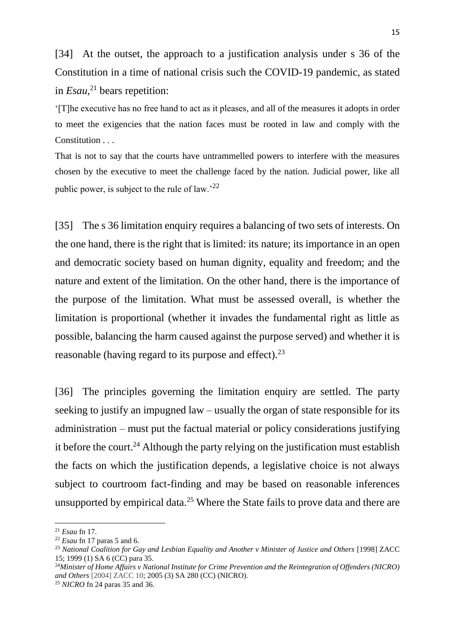[34] At the outset, the approach to a justification analysis under s 36 of the Constitution in a time of national crisis such the COVID-19 pandemic, as stated in *Esau*, <sup>21</sup> bears repetition:

'[T]he executive has no free hand to act as it pleases, and all of the measures it adopts in order to meet the exigencies that the nation faces must be rooted in law and comply with the Constitution . . .

That is not to say that the courts have untrammelled powers to interfere with the measures chosen by the executive to meet the challenge faced by the nation. Judicial power, like all public power, is subject to the rule of law.'<sup>22</sup>

[35] The s 36 limitation enquiry requires a balancing of two sets of interests. On the one hand, there is the right that is limited: its nature; its importance in an open and democratic society based on human dignity, equality and freedom; and the nature and extent of the limitation. On the other hand, there is the importance of the purpose of the limitation. What must be assessed overall, is whether the limitation is proportional (whether it invades the fundamental right as little as possible, balancing the harm caused against the purpose served) and whether it is reasonable (having regard to its purpose and effect).<sup>23</sup>

[36] The principles governing the limitation enquiry are settled. The party seeking to justify an impugned law – usually the organ of state responsible for its administration – must put the factual material or policy considerations justifying it before the court.<sup>24</sup> Although the party relying on the justification must establish the facts on which the justification depends, a legislative choice is not always subject to courtroom fact-finding and may be based on reasonable inferences unsupported by empirical data.<sup>25</sup> Where the State fails to prove data and there are

<sup>21</sup> *Esau* fn 17.

<sup>22</sup> *Esau* fn 17 paras 5 and 6.

<sup>23</sup> *National Coalition for Gay and Lesbian Equality and Another v Minister of Justice and Others* [1998] ZACC 15; 1999 (1) SA 6 (CC) para 35.

<sup>24</sup>*Minister of Home Affairs v National Institute for Crime Prevention and the Reintegration of Offenders (NICRO) and Others* [2004] ZACC 10; 2005 (3) SA 280 (CC) (NICRO).

<sup>25</sup> *NICRO* fn 24 paras 35 and 36.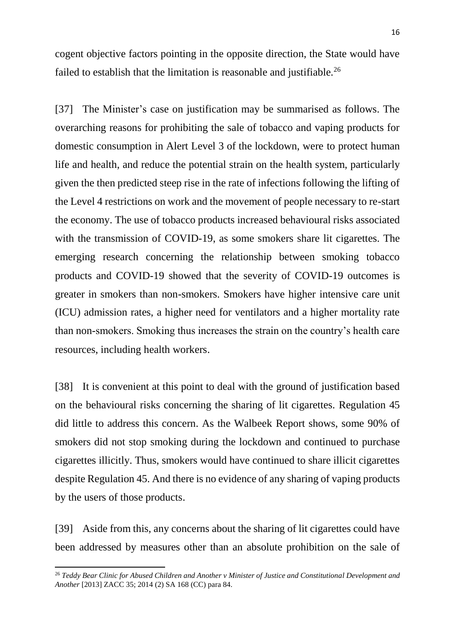cogent objective factors pointing in the opposite direction, the State would have failed to establish that the limitation is reasonable and justifiable.<sup>26</sup>

[37] The Minister's case on justification may be summarised as follows. The overarching reasons for prohibiting the sale of tobacco and vaping products for domestic consumption in Alert Level 3 of the lockdown, were to protect human life and health, and reduce the potential strain on the health system, particularly given the then predicted steep rise in the rate of infections following the lifting of the Level 4 restrictions on work and the movement of people necessary to re-start the economy. The use of tobacco products increased behavioural risks associated with the transmission of COVID-19, as some smokers share lit cigarettes. The emerging research concerning the relationship between smoking tobacco products and COVID-19 showed that the severity of COVID-19 outcomes is greater in smokers than non-smokers. Smokers have higher intensive care unit (ICU) admission rates, a higher need for ventilators and a higher mortality rate than non-smokers. Smoking thus increases the strain on the country's health care resources, including health workers.

[38] It is convenient at this point to deal with the ground of justification based on the behavioural risks concerning the sharing of lit cigarettes. Regulation 45 did little to address this concern. As the Walbeek Report shows, some 90% of smokers did not stop smoking during the lockdown and continued to purchase cigarettes illicitly. Thus, smokers would have continued to share illicit cigarettes despite Regulation 45. And there is no evidence of any sharing of vaping products by the users of those products.

[39] Aside from this, any concerns about the sharing of lit cigarettes could have been addressed by measures other than an absolute prohibition on the sale of

<sup>26</sup> *Teddy Bear Clinic for Abused Children and Another v Minister of Justice and Constitutional Development and Another* [2013] ZACC 35; 2014 (2) SA 168 (CC) para 84.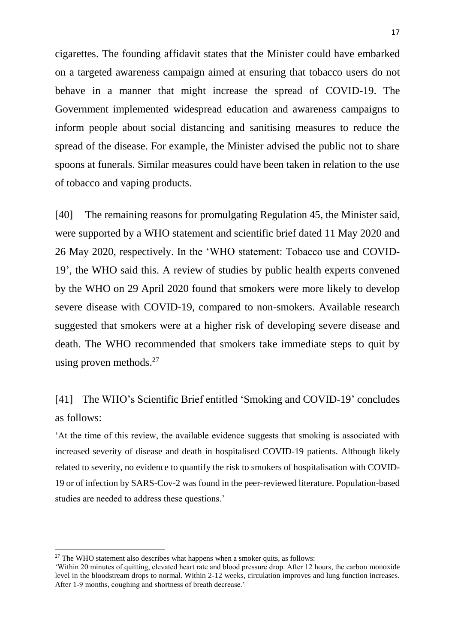cigarettes. The founding affidavit states that the Minister could have embarked on a targeted awareness campaign aimed at ensuring that tobacco users do not behave in a manner that might increase the spread of COVID-19. The Government implemented widespread education and awareness campaigns to inform people about social distancing and sanitising measures to reduce the spread of the disease. For example, the Minister advised the public not to share spoons at funerals. Similar measures could have been taken in relation to the use of tobacco and vaping products.

[40] The remaining reasons for promulgating Regulation 45, the Minister said, were supported by a WHO statement and scientific brief dated 11 May 2020 and 26 May 2020, respectively. In the 'WHO statement: Tobacco use and COVID-19', the WHO said this. A review of studies by public health experts convened by the WHO on 29 April 2020 found that smokers were more likely to develop severe disease with COVID-19, compared to non-smokers. Available research suggested that smokers were at a higher risk of developing severe disease and death. The WHO recommended that smokers take immediate steps to quit by using proven methods.<sup>27</sup>

# [41] The WHO's Scientific Brief entitled 'Smoking and COVID-19' concludes as follows:

'At the time of this review, the available evidence suggests that smoking is associated with increased severity of disease and death in hospitalised COVID-19 patients. Although likely related to severity, no evidence to quantify the risk to smokers of hospitalisation with COVID-19 or of infection by SARS-Cov-2 was found in the peer-reviewed literature. Population-based studies are needed to address these questions.'

 $27$  The WHO statement also describes what happens when a smoker quits, as follows:

<sup>&#</sup>x27;Within 20 minutes of quitting, elevated heart rate and blood pressure drop. After 12 hours, the carbon monoxide level in the bloodstream drops to normal. Within 2-12 weeks, circulation improves and lung function increases. After 1-9 months, coughing and shortness of breath decrease.'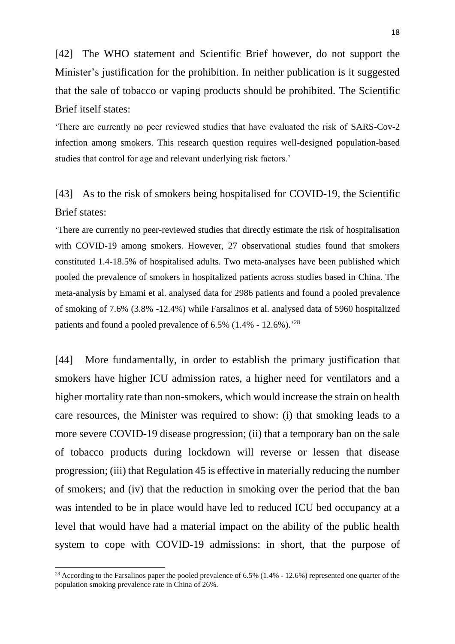[42] The WHO statement and Scientific Brief however, do not support the Minister's justification for the prohibition. In neither publication is it suggested that the sale of tobacco or vaping products should be prohibited. The Scientific Brief itself states:

'There are currently no peer reviewed studies that have evaluated the risk of SARS-Cov-2 infection among smokers. This research question requires well-designed population-based studies that control for age and relevant underlying risk factors.'

# [43] As to the risk of smokers being hospitalised for COVID-19, the Scientific Brief states:

'There are currently no peer-reviewed studies that directly estimate the risk of hospitalisation with COVID-19 among smokers. However, 27 observational studies found that smokers constituted 1.4-18.5% of hospitalised adults. Two meta-analyses have been published which pooled the prevalence of smokers in hospitalized patients across studies based in China. The meta-analysis by Emami et al. analysed data for 2986 patients and found a pooled prevalence of smoking of 7.6% (3.8% -12.4%) while Farsalinos et al. analysed data of 5960 hospitalized patients and found a pooled prevalence of  $6.5\%$  (1.4% - 12.6%).<sup>28</sup>

[44] More fundamentally, in order to establish the primary justification that smokers have higher ICU admission rates, a higher need for ventilators and a higher mortality rate than non-smokers, which would increase the strain on health care resources, the Minister was required to show: (i) that smoking leads to a more severe COVID-19 disease progression; (ii) that a temporary ban on the sale of tobacco products during lockdown will reverse or lessen that disease progression; (iii) that Regulation 45 is effective in materially reducing the number of smokers; and (iv) that the reduction in smoking over the period that the ban was intended to be in place would have led to reduced ICU bed occupancy at a level that would have had a material impact on the ability of the public health system to cope with COVID-19 admissions: in short, that the purpose of

<sup>&</sup>lt;sup>28</sup> According to the Farsalinos paper the pooled prevalence of 6.5% (1.4% - 12.6%) represented one quarter of the population smoking prevalence rate in China of 26%.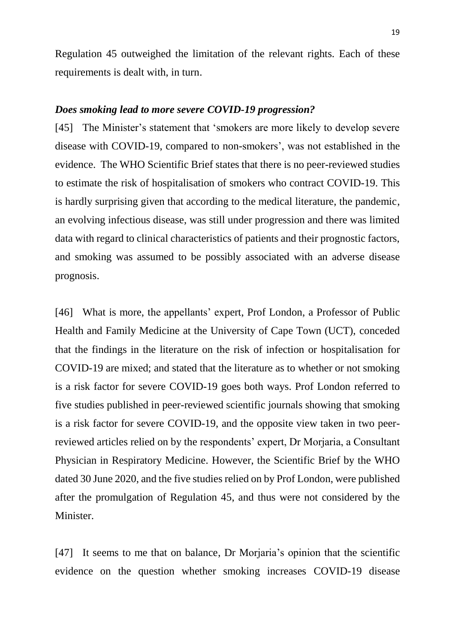Regulation 45 outweighed the limitation of the relevant rights. Each of these requirements is dealt with, in turn.

#### *Does smoking lead to more severe COVID-19 progression?*

[45] The Minister's statement that 'smokers are more likely to develop severe disease with COVID-19, compared to non-smokers', was not established in the evidence. The WHO Scientific Brief states that there is no peer-reviewed studies to estimate the risk of hospitalisation of smokers who contract COVID-19. This is hardly surprising given that according to the medical literature, the pandemic, an evolving infectious disease, was still under progression and there was limited data with regard to clinical characteristics of patients and their prognostic factors, and smoking was assumed to be possibly associated with an adverse disease prognosis.

[46] What is more, the appellants' expert, Prof London, a Professor of Public Health and Family Medicine at the University of Cape Town (UCT), conceded that the findings in the literature on the risk of infection or hospitalisation for COVID-19 are mixed; and stated that the literature as to whether or not smoking is a risk factor for severe COVID-19 goes both ways. Prof London referred to five studies published in peer-reviewed scientific journals showing that smoking is a risk factor for severe COVID-19, and the opposite view taken in two peerreviewed articles relied on by the respondents' expert, Dr Morjaria, a Consultant Physician in Respiratory Medicine. However, the Scientific Brief by the WHO dated 30 June 2020, and the five studies relied on by Prof London, were published after the promulgation of Regulation 45, and thus were not considered by the Minister.

[47] It seems to me that on balance, Dr Morjaria's opinion that the scientific evidence on the question whether smoking increases COVID-19 disease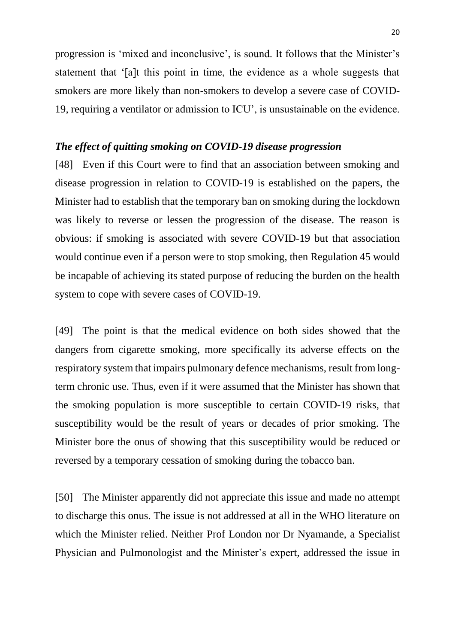progression is 'mixed and inconclusive', is sound. It follows that the Minister's statement that '[a]t this point in time, the evidence as a whole suggests that smokers are more likely than non-smokers to develop a severe case of COVID-19, requiring a ventilator or admission to ICU', is unsustainable on the evidence.

#### *The effect of quitting smoking on COVID-19 disease progression*

[48] Even if this Court were to find that an association between smoking and disease progression in relation to COVID-19 is established on the papers, the Minister had to establish that the temporary ban on smoking during the lockdown was likely to reverse or lessen the progression of the disease. The reason is obvious: if smoking is associated with severe COVID-19 but that association would continue even if a person were to stop smoking, then Regulation 45 would be incapable of achieving its stated purpose of reducing the burden on the health system to cope with severe cases of COVID-19.

[49] The point is that the medical evidence on both sides showed that the dangers from cigarette smoking, more specifically its adverse effects on the respiratory system that impairs pulmonary defence mechanisms, result from longterm chronic use. Thus, even if it were assumed that the Minister has shown that the smoking population is more susceptible to certain COVID-19 risks, that susceptibility would be the result of years or decades of prior smoking. The Minister bore the onus of showing that this susceptibility would be reduced or reversed by a temporary cessation of smoking during the tobacco ban.

[50] The Minister apparently did not appreciate this issue and made no attempt to discharge this onus. The issue is not addressed at all in the WHO literature on which the Minister relied. Neither Prof London nor Dr Nyamande, a Specialist Physician and Pulmonologist and the Minister's expert, addressed the issue in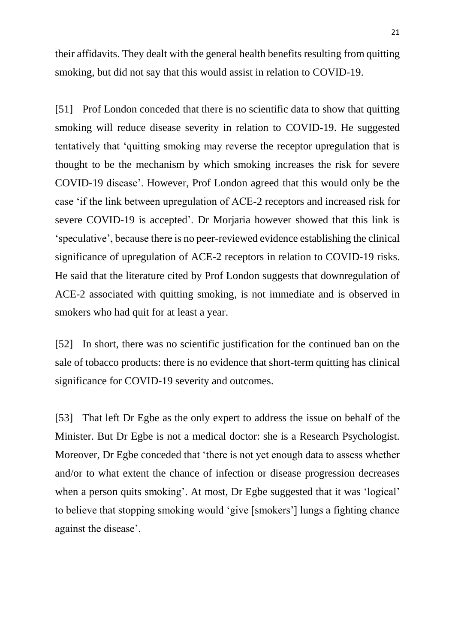their affidavits. They dealt with the general health benefits resulting from quitting smoking, but did not say that this would assist in relation to COVID-19.

[51] Prof London conceded that there is no scientific data to show that quitting smoking will reduce disease severity in relation to COVID-19. He suggested tentatively that 'quitting smoking may reverse the receptor upregulation that is thought to be the mechanism by which smoking increases the risk for severe COVID-19 disease'. However, Prof London agreed that this would only be the case 'if the link between upregulation of ACE-2 receptors and increased risk for severe COVID-19 is accepted'. Dr Morjaria however showed that this link is 'speculative', because there is no peer-reviewed evidence establishing the clinical significance of upregulation of ACE-2 receptors in relation to COVID-19 risks. He said that the literature cited by Prof London suggests that downregulation of ACE-2 associated with quitting smoking, is not immediate and is observed in smokers who had quit for at least a year.

[52] In short, there was no scientific justification for the continued ban on the sale of tobacco products: there is no evidence that short-term quitting has clinical significance for COVID-19 severity and outcomes.

[53] That left Dr Egbe as the only expert to address the issue on behalf of the Minister. But Dr Egbe is not a medical doctor: she is a Research Psychologist. Moreover, Dr Egbe conceded that 'there is not yet enough data to assess whether and/or to what extent the chance of infection or disease progression decreases when a person quits smoking'. At most, Dr Egbe suggested that it was 'logical' to believe that stopping smoking would 'give [smokers'] lungs a fighting chance against the disease'.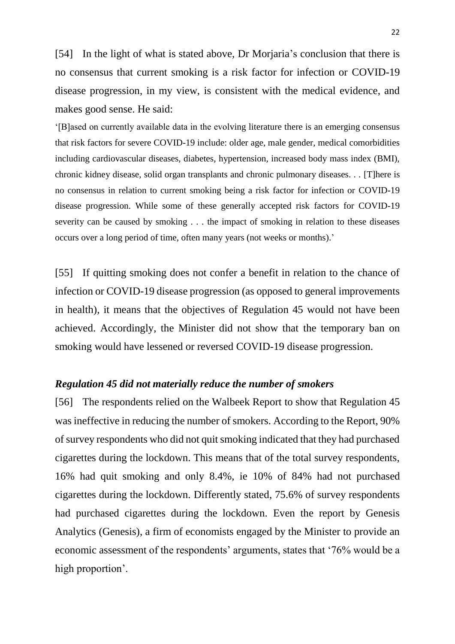[54] In the light of what is stated above, Dr Morjaria's conclusion that there is no consensus that current smoking is a risk factor for infection or COVID-19 disease progression, in my view, is consistent with the medical evidence, and makes good sense. He said:

'[B]ased on currently available data in the evolving literature there is an emerging consensus that risk factors for severe COVID-19 include: older age, male gender, medical comorbidities including cardiovascular diseases, diabetes, hypertension, increased body mass index (BMI), chronic kidney disease, solid organ transplants and chronic pulmonary diseases. . . [T]here is no consensus in relation to current smoking being a risk factor for infection or COVID-19 disease progression. While some of these generally accepted risk factors for COVID-19 severity can be caused by smoking . . . the impact of smoking in relation to these diseases occurs over a long period of time, often many years (not weeks or months).'

[55] If quitting smoking does not confer a benefit in relation to the chance of infection or COVID-19 disease progression (as opposed to general improvements in health), it means that the objectives of Regulation 45 would not have been achieved. Accordingly, the Minister did not show that the temporary ban on smoking would have lessened or reversed COVID-19 disease progression.

#### *Regulation 45 did not materially reduce the number of smokers*

[56] The respondents relied on the Walbeek Report to show that Regulation 45 was ineffective in reducing the number of smokers. According to the Report, 90% of survey respondents who did not quit smoking indicated that they had purchased cigarettes during the lockdown. This means that of the total survey respondents, 16% had quit smoking and only 8.4%, ie 10% of 84% had not purchased cigarettes during the lockdown. Differently stated, 75.6% of survey respondents had purchased cigarettes during the lockdown. Even the report by Genesis Analytics (Genesis), a firm of economists engaged by the Minister to provide an economic assessment of the respondents' arguments, states that '76% would be a high proportion'.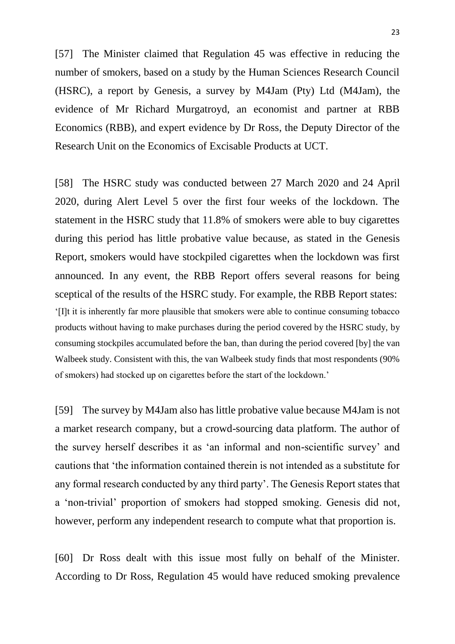[57] The Minister claimed that Regulation 45 was effective in reducing the number of smokers, based on a study by the Human Sciences Research Council (HSRC), a report by Genesis, a survey by M4Jam (Pty) Ltd (M4Jam), the evidence of Mr Richard Murgatroyd, an economist and partner at RBB Economics (RBB), and expert evidence by Dr Ross, the Deputy Director of the Research Unit on the Economics of Excisable Products at UCT.

[58] The HSRC study was conducted between 27 March 2020 and 24 April 2020, during Alert Level 5 over the first four weeks of the lockdown. The statement in the HSRC study that 11.8% of smokers were able to buy cigarettes during this period has little probative value because, as stated in the Genesis Report, smokers would have stockpiled cigarettes when the lockdown was first announced. In any event, the RBB Report offers several reasons for being sceptical of the results of the HSRC study. For example, the RBB Report states: '[I]t it is inherently far more plausible that smokers were able to continue consuming tobacco products without having to make purchases during the period covered by the HSRC study, by consuming stockpiles accumulated before the ban, than during the period covered [by] the van Walbeek study. Consistent with this, the van Walbeek study finds that most respondents (90% of smokers) had stocked up on cigarettes before the start of the lockdown.'

[59] The survey by M4Jam also has little probative value because M4Jam is not a market research company, but a crowd-sourcing data platform. The author of the survey herself describes it as 'an informal and non-scientific survey' and cautions that 'the information contained therein is not intended as a substitute for any formal research conducted by any third party'. The Genesis Report states that a 'non-trivial' proportion of smokers had stopped smoking. Genesis did not, however, perform any independent research to compute what that proportion is.

[60] Dr Ross dealt with this issue most fully on behalf of the Minister. According to Dr Ross, Regulation 45 would have reduced smoking prevalence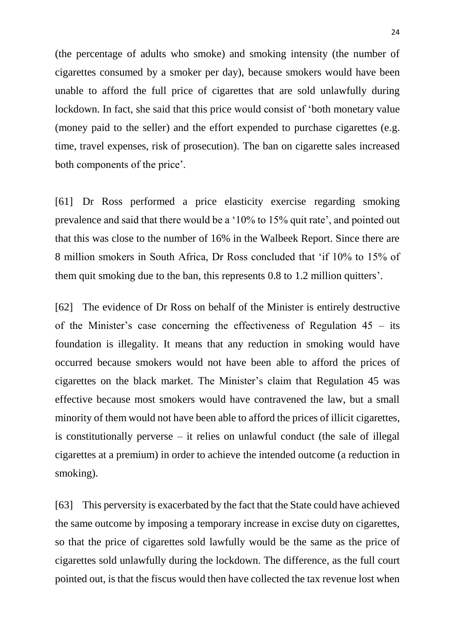(the percentage of adults who smoke) and smoking intensity (the number of cigarettes consumed by a smoker per day), because smokers would have been unable to afford the full price of cigarettes that are sold unlawfully during lockdown. In fact, she said that this price would consist of 'both monetary value (money paid to the seller) and the effort expended to purchase cigarettes (e.g. time, travel expenses, risk of prosecution). The ban on cigarette sales increased both components of the price'.

[61] Dr Ross performed a price elasticity exercise regarding smoking prevalence and said that there would be a '10% to 15% quit rate', and pointed out that this was close to the number of 16% in the Walbeek Report. Since there are 8 million smokers in South Africa, Dr Ross concluded that 'if 10% to 15% of them quit smoking due to the ban, this represents 0.8 to 1.2 million quitters'.

[62] The evidence of Dr Ross on behalf of the Minister is entirely destructive of the Minister's case concerning the effectiveness of Regulation 45 – its foundation is illegality. It means that any reduction in smoking would have occurred because smokers would not have been able to afford the prices of cigarettes on the black market. The Minister's claim that Regulation 45 was effective because most smokers would have contravened the law, but a small minority of them would not have been able to afford the prices of illicit cigarettes, is constitutionally perverse – it relies on unlawful conduct (the sale of illegal cigarettes at a premium) in order to achieve the intended outcome (a reduction in smoking).

[63] This perversity is exacerbated by the fact that the State could have achieved the same outcome by imposing a temporary increase in excise duty on cigarettes, so that the price of cigarettes sold lawfully would be the same as the price of cigarettes sold unlawfully during the lockdown. The difference, as the full court pointed out, is that the fiscus would then have collected the tax revenue lost when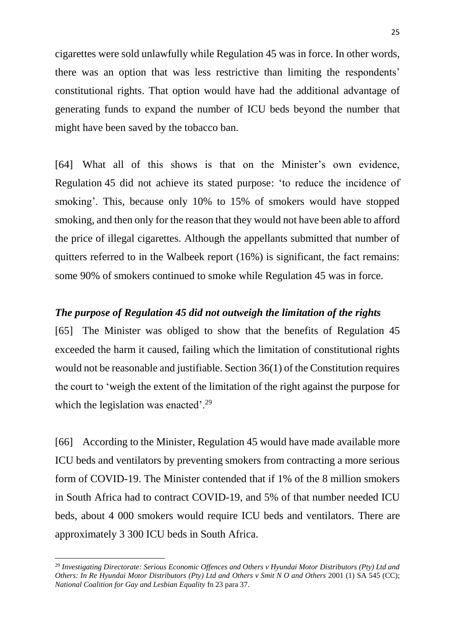cigarettes were sold unlawfully while Regulation 45 was in force. In other words, there was an option that was less restrictive than limiting the respondents' constitutional rights. That option would have had the additional advantage of generating funds to expand the number of ICU beds beyond the number that might have been saved by the tobacco ban.

[64] What all of this shows is that on the Minister's own evidence, Regulation 45 did not achieve its stated purpose: 'to reduce the incidence of smoking'. This, because only 10% to 15% of smokers would have stopped smoking, and then only for the reason that they would not have been able to afford the price of illegal cigarettes. Although the appellants submitted that number of quitters referred to in the Walbeek report (16%) is significant, the fact remains: some 90% of smokers continued to smoke while Regulation 45 was in force.

#### *The purpose of Regulation 45 did not outweigh the limitation of the rights*

[65] The Minister was obliged to show that the benefits of Regulation 45 exceeded the harm it caused, failing which the limitation of constitutional rights would not be reasonable and justifiable. Section 36(1) of the Constitution requires the court to 'weigh the extent of the limitation of the right against the purpose for which the legislation was enacted'.<sup>29</sup>

[66] According to the Minister, Regulation 45 would have made available more ICU beds and ventilators by preventing smokers from contracting a more serious form of COVID-19. The Minister contended that if 1% of the 8 million smokers in South Africa had to contract COVID-19, and 5% of that number needed ICU beds, about 4 000 smokers would require ICU beds and ventilators. There are approximately 3 300 ICU beds in South Africa.

1

<sup>29</sup> *Investigating Directorate: Serious Economic Offences and Others v Hyundai Motor Distributors (Pty) Ltd and Others: In Re Hyundai Motor Distributors (Pty) Ltd and Others v Smit N O and Others* 2001 (1) SA 545 (CC); *National Coalition for Gay and Lesbian Equality* fn 23 para 37.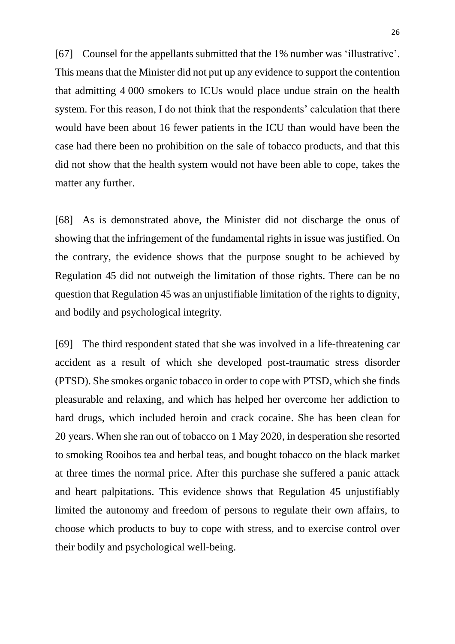[67] Counsel for the appellants submitted that the 1% number was 'illustrative'. This means that the Minister did not put up any evidence to support the contention that admitting 4 000 smokers to ICUs would place undue strain on the health system. For this reason, I do not think that the respondents' calculation that there would have been about 16 fewer patients in the ICU than would have been the case had there been no prohibition on the sale of tobacco products, and that this did not show that the health system would not have been able to cope, takes the matter any further.

[68] As is demonstrated above, the Minister did not discharge the onus of showing that the infringement of the fundamental rights in issue was justified. On the contrary, the evidence shows that the purpose sought to be achieved by Regulation 45 did not outweigh the limitation of those rights. There can be no question that Regulation 45 was an unjustifiable limitation of the rights to dignity, and bodily and psychological integrity.

[69] The third respondent stated that she was involved in a life-threatening car accident as a result of which she developed post-traumatic stress disorder (PTSD). She smokes organic tobacco in order to cope with PTSD, which she finds pleasurable and relaxing, and which has helped her overcome her addiction to hard drugs, which included heroin and crack cocaine. She has been clean for 20 years. When she ran out of tobacco on 1 May 2020, in desperation she resorted to smoking Rooibos tea and herbal teas, and bought tobacco on the black market at three times the normal price. After this purchase she suffered a panic attack and heart palpitations. This evidence shows that Regulation 45 unjustifiably limited the autonomy and freedom of persons to regulate their own affairs, to choose which products to buy to cope with stress, and to exercise control over their bodily and psychological well-being.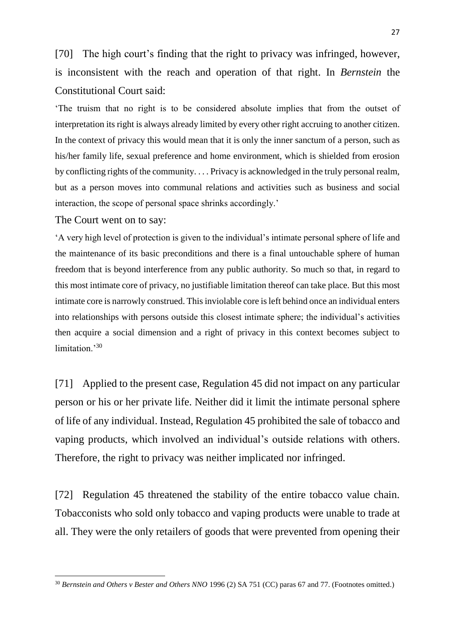[70] The high court's finding that the right to privacy was infringed, however, is inconsistent with the reach and operation of that right. In *Bernstein* the Constitutional Court said:

'The truism that no right is to be considered absolute implies that from the outset of interpretation its right is always already limited by every other right accruing to another citizen. In the context of privacy this would mean that it is only the inner sanctum of a person, such as his/her family life, sexual preference and home environment, which is shielded from erosion by conflicting rights of the community. . . . Privacy is acknowledged in the truly personal realm, but as a person moves into communal relations and activities such as business and social interaction, the scope of personal space shrinks accordingly.'

The Court went on to say:

**.** 

'A very high level of protection is given to the individual's intimate personal sphere of life and the maintenance of its basic preconditions and there is a final untouchable sphere of human freedom that is beyond interference from any public authority. So much so that, in regard to this most intimate core of privacy, no justifiable limitation thereof can take place. But this most intimate core is narrowly construed. This inviolable core is left behind once an individual enters into relationships with persons outside this closest intimate sphere; the individual's activities then acquire a social dimension and a right of privacy in this context becomes subject to limitation.<sup>30</sup>

[71] Applied to the present case, Regulation 45 did not impact on any particular person or his or her private life. Neither did it limit the intimate personal sphere of life of any individual. Instead, Regulation 45 prohibited the sale of tobacco and vaping products, which involved an individual's outside relations with others. Therefore, the right to privacy was neither implicated nor infringed.

[72] Regulation 45 threatened the stability of the entire tobacco value chain. Tobacconists who sold only tobacco and vaping products were unable to trade at all. They were the only retailers of goods that were prevented from opening their

<sup>30</sup> *Bernstein and Others v Bester and Others NNO* 1996 (2) SA 751 (CC) paras 67 and 77. (Footnotes omitted.)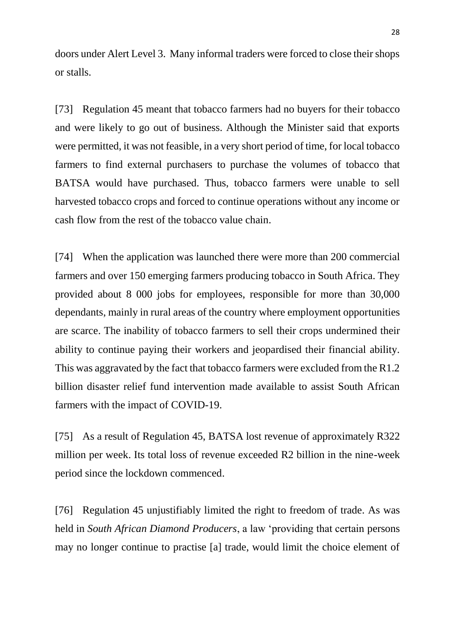doors under Alert Level 3. Many informal traders were forced to close their shops or stalls.

[73] Regulation 45 meant that tobacco farmers had no buyers for their tobacco and were likely to go out of business. Although the Minister said that exports were permitted, it was not feasible, in a very short period of time, for local tobacco farmers to find external purchasers to purchase the volumes of tobacco that BATSA would have purchased. Thus, tobacco farmers were unable to sell harvested tobacco crops and forced to continue operations without any income or cash flow from the rest of the tobacco value chain.

[74] When the application was launched there were more than 200 commercial farmers and over 150 emerging farmers producing tobacco in South Africa. They provided about 8 000 jobs for employees, responsible for more than 30,000 dependants, mainly in rural areas of the country where employment opportunities are scarce. The inability of tobacco farmers to sell their crops undermined their ability to continue paying their workers and jeopardised their financial ability. This was aggravated by the fact that tobacco farmers were excluded from the R1.2 billion disaster relief fund intervention made available to assist South African farmers with the impact of COVID-19.

[75] As a result of Regulation 45, BATSA lost revenue of approximately R322 million per week. Its total loss of revenue exceeded R2 billion in the nine-week period since the lockdown commenced.

[76] Regulation 45 unjustifiably limited the right to freedom of trade. As was held in *South African Diamond Producers*, a law 'providing that certain persons may no longer continue to practise [a] trade, would limit the choice element of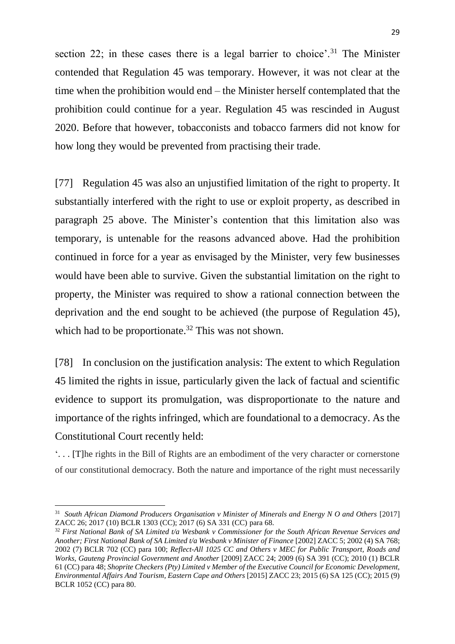section 22; in these cases there is a legal barrier to choice'.<sup>31</sup> The Minister contended that Regulation 45 was temporary. However, it was not clear at the time when the prohibition would end – the Minister herself contemplated that the prohibition could continue for a year. Regulation 45 was rescinded in August 2020. Before that however, tobacconists and tobacco farmers did not know for how long they would be prevented from practising their trade.

[77] Regulation 45 was also an unjustified limitation of the right to property. It substantially interfered with the right to use or exploit property, as described in paragraph 25 above. The Minister's contention that this limitation also was temporary, is untenable for the reasons advanced above. Had the prohibition continued in force for a year as envisaged by the Minister, very few businesses would have been able to survive. Given the substantial limitation on the right to property, the Minister was required to show a rational connection between the deprivation and the end sought to be achieved (the purpose of Regulation 45), which had to be proportionate.<sup>32</sup> This was not shown.

[78] In conclusion on the justification analysis: The extent to which Regulation 45 limited the rights in issue, particularly given the lack of factual and scientific evidence to support its promulgation, was disproportionate to the nature and importance of the rights infringed, which are foundational to a democracy. As the Constitutional Court recently held:

'. . . [T]he rights in the Bill of Rights are an embodiment of the very character or cornerstone of our constitutional democracy. Both the nature and importance of the right must necessarily

 $\overline{a}$ 

<sup>&</sup>lt;sup>31</sup> South African Diamond Producers Organisation v Minister of Minerals and Energy N O and Others [2017] ZACC 26; 2017 (10) BCLR 1303 (CC); 2017 (6) SA 331 (CC) para 68.

<sup>32</sup> *First National Bank of SA Limited t/a Wesbank v Commissioner for the South African Revenue Services and Another; First National Bank of SA Limited t/a Wesbank v Minister of Finance* [2002] ZACC 5; 2002 (4) SA 768; 2002 (7) BCLR 702 (CC) para 100; *Reflect-All 1025 CC and Others v MEC for Public Transport, Roads and Works, Gauteng Provincial Government and Another* [2009] ZACC 24; 2009 (6) SA 391 (CC); 2010 (1) BCLR 61 (CC) para 48; *Shoprite Checkers (Pty) Limited v Member of the Executive Council for Economic Development, Environmental Affairs And Tourism, Eastern Cape and Others* [2015] ZACC 23; 2015 (6) SA 125 (CC); 2015 (9) BCLR 1052 (CC) para 80.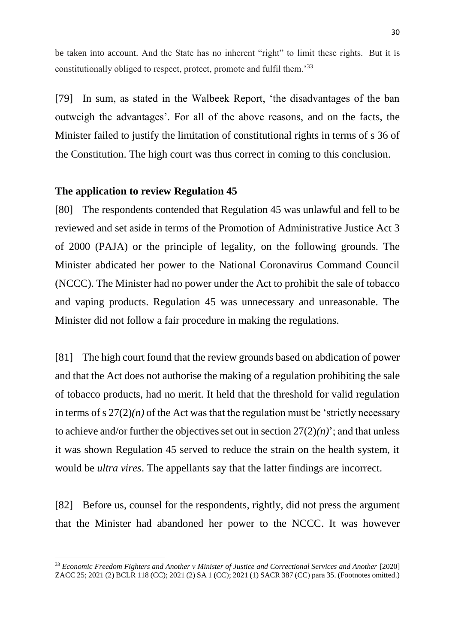be taken into account. And the State has no inherent "right" to limit these rights. But it is constitutionally obliged to respect, protect, promote and fulfil them.'<sup>33</sup>

[79] In sum, as stated in the Walbeek Report, 'the disadvantages of the ban outweigh the advantages'. For all of the above reasons, and on the facts, the Minister failed to justify the limitation of constitutional rights in terms of s 36 of the Constitution. The high court was thus correct in coming to this conclusion.

#### **The application to review Regulation 45**

**.** 

[80] The respondents contended that Regulation 45 was unlawful and fell to be reviewed and set aside in terms of the Promotion of Administrative Justice Act 3 of 2000 (PAJA) or the principle of legality, on the following grounds. The Minister abdicated her power to the National Coronavirus Command Council (NCCC). The Minister had no power under the Act to prohibit the sale of tobacco and vaping products. Regulation 45 was unnecessary and unreasonable. The Minister did not follow a fair procedure in making the regulations.

[81] The high court found that the review grounds based on abdication of power and that the Act does not authorise the making of a regulation prohibiting the sale of tobacco products, had no merit. It held that the threshold for valid regulation in terms of s  $27(2)(n)$  of the Act was that the regulation must be 'strictly necessary to achieve and/or further the objectives set out in section  $27(2)(n)$ ; and that unless it was shown Regulation 45 served to reduce the strain on the health system, it would be *ultra vires*. The appellants say that the latter findings are incorrect.

[82] Before us, counsel for the respondents, rightly, did not press the argument that the Minister had abandoned her power to the NCCC. It was however

<sup>33</sup> *Economic Freedom Fighters and Another v Minister of Justice and Correctional Services and Another* [2020] ZACC 25; 2021 (2) BCLR 118 (CC); 2021 (2) SA 1 (CC); 2021 (1) SACR 387 (CC) para 35. (Footnotes omitted.)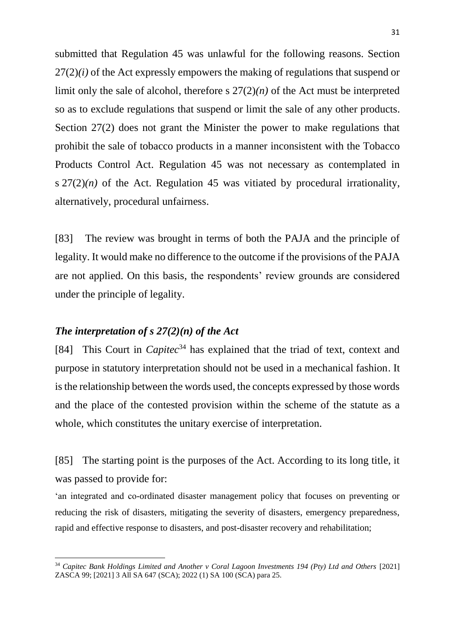submitted that Regulation 45 was unlawful for the following reasons. Section 27(2)*(i)* of the Act expressly empowers the making of regulations that suspend or limit only the sale of alcohol, therefore s  $27(2)(n)$  of the Act must be interpreted so as to exclude regulations that suspend or limit the sale of any other products. Section 27(2) does not grant the Minister the power to make regulations that prohibit the sale of tobacco products in a manner inconsistent with the Tobacco Products Control Act. Regulation 45 was not necessary as contemplated in s  $27(2)(n)$  of the Act. Regulation 45 was vitiated by procedural irrationality, alternatively, procedural unfairness.

[83] The review was brought in terms of both the PAJA and the principle of legality. It would make no difference to the outcome if the provisions of the PAJA are not applied. On this basis, the respondents' review grounds are considered under the principle of legality.

#### *The interpretation of s 27(2)(n) of the Act*

**.** 

[84] This Court in *Capitec*<sup>34</sup> has explained that the triad of text, context and purpose in statutory interpretation should not be used in a mechanical fashion. It is the relationship between the words used, the concepts expressed by those words and the place of the contested provision within the scheme of the statute as a whole, which constitutes the unitary exercise of interpretation.

[85] The starting point is the purposes of the Act. According to its long title, it was passed to provide for:

'an integrated and co-ordinated disaster management policy that focuses on preventing or reducing the risk of disasters, mitigating the severity of disasters, emergency preparedness, rapid and effective response to disasters, and post-disaster recovery and rehabilitation;

<sup>34</sup> *Capitec Bank Holdings Limited and Another v Coral Lagoon Investments 194 (Pty) Ltd and Others* [2021] ZASCA 99; [2021] 3 All SA 647 (SCA); 2022 (1) SA 100 (SCA) para 25.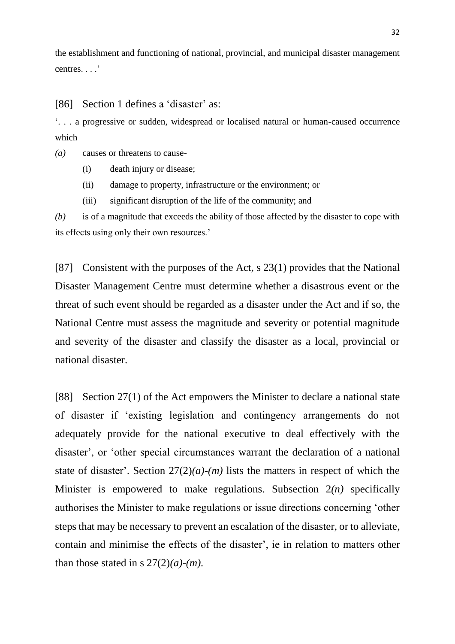the establishment and functioning of national, provincial, and municipal disaster management centres. . . .'

[86] Section 1 defines a 'disaster' as:

'. . . a progressive or sudden, widespread or localised natural or human-caused occurrence which

- *(a)* causes or threatens to cause-
	- (i) death injury or disease;
	- (ii) damage to property, infrastructure or the environment; or
	- (iii) significant disruption of the life of the community; and

*(b)* is of a magnitude that exceeds the ability of those affected by the disaster to cope with its effects using only their own resources.'

[87] Consistent with the purposes of the Act, s 23(1) provides that the National Disaster Management Centre must determine whether a disastrous event or the threat of such event should be regarded as a disaster under the Act and if so, the National Centre must assess the magnitude and severity or potential magnitude and severity of the disaster and classify the disaster as a local, provincial or national disaster.

[88] Section 27(1) of the Act empowers the Minister to declare a national state of disaster if 'existing legislation and contingency arrangements do not adequately provide for the national executive to deal effectively with the disaster', or 'other special circumstances warrant the declaration of a national state of disaster'. Section  $27(2)(a)-(m)$  lists the matters in respect of which the Minister is empowered to make regulations. Subsection 2*(n)* specifically authorises the Minister to make regulations or issue directions concerning 'other steps that may be necessary to prevent an escalation of the disaster, or to alleviate, contain and minimise the effects of the disaster', ie in relation to matters other than those stated in s  $27(2)(a)-(m)$ .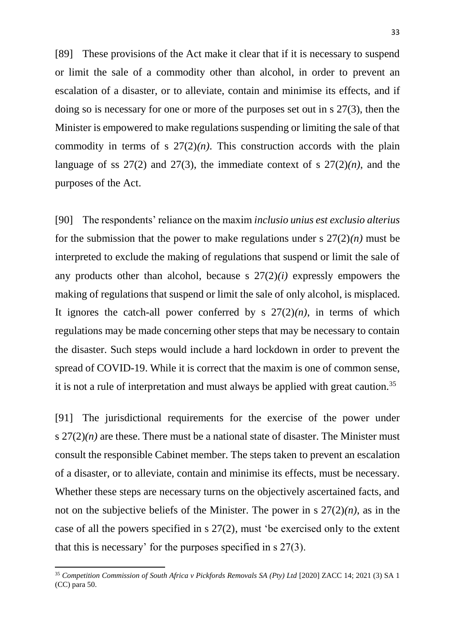[89] These provisions of the Act make it clear that if it is necessary to suspend or limit the sale of a commodity other than alcohol, in order to prevent an escalation of a disaster, or to alleviate, contain and minimise its effects, and if doing so is necessary for one or more of the purposes set out in s 27(3), then the Minister is empowered to make regulations suspending or limiting the sale of that commodity in terms of s  $27(2)(n)$ . This construction accords with the plain language of ss  $27(2)$  and  $27(3)$ , the immediate context of s  $27(2)(n)$ , and the purposes of the Act.

[90] The respondents' reliance on the maxim *inclusio unius est exclusio alterius* for the submission that the power to make regulations under s  $27(2)(n)$  must be interpreted to exclude the making of regulations that suspend or limit the sale of any products other than alcohol, because s 27(2)*(i)* expressly empowers the making of regulations that suspend or limit the sale of only alcohol, is misplaced. It ignores the catch-all power conferred by s  $27(2)(n)$ , in terms of which regulations may be made concerning other steps that may be necessary to contain the disaster. Such steps would include a hard lockdown in order to prevent the spread of COVID-19. While it is correct that the maxim is one of common sense, it is not a rule of interpretation and must always be applied with great caution.<sup>35</sup>

[91] The jurisdictional requirements for the exercise of the power under s  $27(2)(n)$  are these. There must be a national state of disaster. The Minister must consult the responsible Cabinet member. The steps taken to prevent an escalation of a disaster, or to alleviate, contain and minimise its effects, must be necessary. Whether these steps are necessary turns on the objectively ascertained facts, and not on the subjective beliefs of the Minister. The power in s 27(2)*(n)*, as in the case of all the powers specified in s 27(2), must 'be exercised only to the extent that this is necessary' for the purposes specified in s 27(3).

<sup>35</sup> *Competition Commission of South Africa v Pickfords Removals SA (Pty) Ltd* [2020] ZACC 14; 2021 (3) SA 1 (CC) para 50.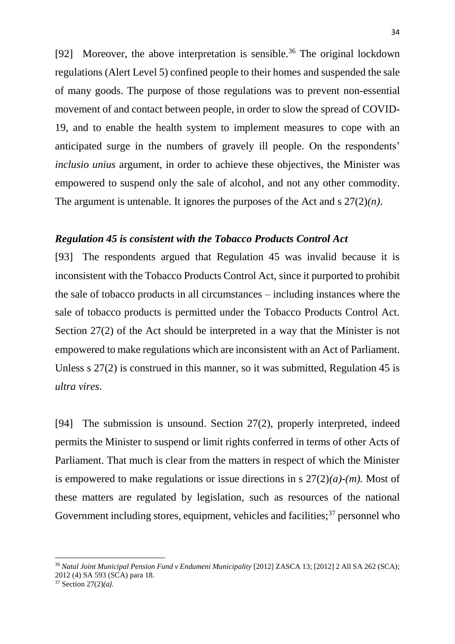[92] Moreover, the above interpretation is sensible.<sup>36</sup> The original lockdown regulations (Alert Level 5) confined people to their homes and suspended the sale of many goods. The purpose of those regulations was to prevent non-essential movement of and contact between people, in order to slow the spread of COVID-19, and to enable the health system to implement measures to cope with an anticipated surge in the numbers of gravely ill people. On the respondents' *inclusio unius* argument, in order to achieve these objectives, the Minister was empowered to suspend only the sale of alcohol, and not any other commodity. The argument is untenable. It ignores the purposes of the Act and s 27(2)*(n)*.

#### *Regulation 45 is consistent with the Tobacco Products Control Act*

[93] The respondents argued that Regulation 45 was invalid because it is inconsistent with the Tobacco Products Control Act, since it purported to prohibit the sale of tobacco products in all circumstances – including instances where the sale of tobacco products is permitted under the Tobacco Products Control Act. Section 27(2) of the Act should be interpreted in a way that the Minister is not empowered to make regulations which are inconsistent with an Act of Parliament. Unless s 27(2) is construed in this manner, so it was submitted, Regulation 45 is *ultra vires*.

[94] The submission is unsound. Section 27(2), properly interpreted, indeed permits the Minister to suspend or limit rights conferred in terms of other Acts of Parliament. That much is clear from the matters in respect of which the Minister is empowered to make regulations or issue directions in s 27(2)*(a)-(m).* Most of these matters are regulated by legislation, such as resources of the national Government including stores, equipment, vehicles and facilities;  $37$  personnel who

<sup>37</sup> Section 27(2)*(a).*

<sup>36</sup> *Natal Joint Municipal Pension Fund v Endumeni Municipality* [2012] ZASCA 13; [2012] 2 All SA 262 (SCA); 2012 (4) SA 593 (SCA) para 18.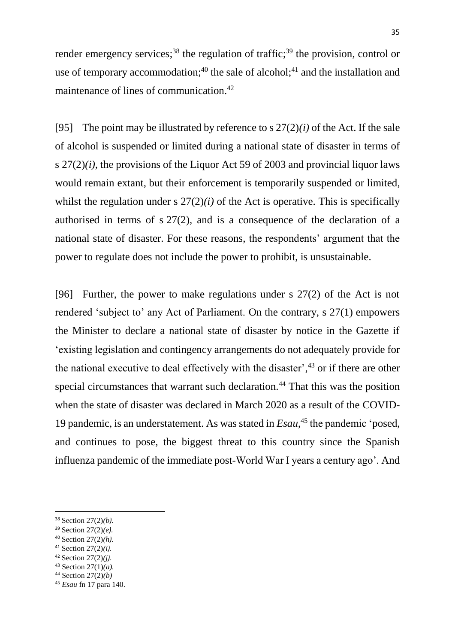render emergency services;<sup>38</sup> the regulation of traffic;<sup>39</sup> the provision, control or use of temporary accommodation;<sup>40</sup> the sale of alcohol;<sup>41</sup> and the installation and maintenance of lines of communication.<sup>42</sup>

[95] The point may be illustrated by reference to s  $27(2)(i)$  of the Act. If the sale of alcohol is suspended or limited during a national state of disaster in terms of s  $27(2)(i)$ , the provisions of the Liquor Act 59 of 2003 and provincial liquor laws would remain extant, but their enforcement is temporarily suspended or limited, whilst the regulation under s  $27(2)(i)$  of the Act is operative. This is specifically authorised in terms of s 27(2), and is a consequence of the declaration of a national state of disaster. For these reasons, the respondents' argument that the power to regulate does not include the power to prohibit, is unsustainable.

[96] Further, the power to make regulations under s 27(2) of the Act is not rendered 'subject to' any Act of Parliament. On the contrary, s 27(1) empowers the Minister to declare a national state of disaster by notice in the Gazette if 'existing legislation and contingency arrangements do not adequately provide for the national executive to deal effectively with the disaster', <sup>43</sup> or if there are other special circumstances that warrant such declaration.<sup>44</sup> That this was the position when the state of disaster was declared in March 2020 as a result of the COVID-19 pandemic, is an understatement. As was stated in *Esau*, <sup>45</sup> the pandemic 'posed, and continues to pose, the biggest threat to this country since the Spanish influenza pandemic of the immediate post-World War I years a century ago'. And

**.** 

<sup>43</sup> Section 27(1)*(a).*

<sup>38</sup> Section 27(2)*(b).*

<sup>39</sup> Section 27(2)*(e).*

<sup>40</sup> Section 27(2)*(h).*

<sup>41</sup> Section 27(2)*(i).*

<sup>42</sup> Section 27(2)*(j).*

<sup>44</sup> Section 27(2)*(b)*

<sup>45</sup> *Esau* fn 17 para 140.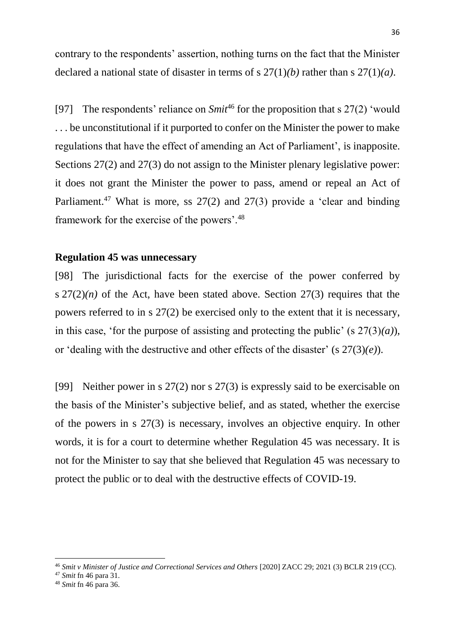contrary to the respondents' assertion, nothing turns on the fact that the Minister declared a national state of disaster in terms of s 27(1)*(b)* rather than s 27(1)*(a)*.

[97] The respondents' reliance on *Smit*<sup>46</sup> for the proposition that s 27(2) 'would . . . be unconstitutional if it purported to confer on the Minister the power to make regulations that have the effect of amending an Act of Parliament', is inapposite. Sections 27(2) and 27(3) do not assign to the Minister plenary legislative power: it does not grant the Minister the power to pass, amend or repeal an Act of Parliament.<sup>47</sup> What is more, ss  $27(2)$  and  $27(3)$  provide a 'clear and binding framework for the exercise of the powers'.<sup>48</sup>

#### **Regulation 45 was unnecessary**

[98] The jurisdictional facts for the exercise of the power conferred by s  $27(2)(n)$  of the Act, have been stated above. Section  $27(3)$  requires that the powers referred to in s 27(2) be exercised only to the extent that it is necessary, in this case, 'for the purpose of assisting and protecting the public' (s  $27(3)(a)$ ), or 'dealing with the destructive and other effects of the disaster' (s 27(3)*(e)*).

[99] Neither power in s 27(2) nor s 27(3) is expressly said to be exercisable on the basis of the Minister's subjective belief, and as stated, whether the exercise of the powers in s 27(3) is necessary, involves an objective enquiry. In other words, it is for a court to determine whether Regulation 45 was necessary. It is not for the Minister to say that she believed that Regulation 45 was necessary to protect the public or to deal with the destructive effects of COVID-19.

1

<sup>&</sup>lt;sup>46</sup> *Smit v Minister of Justice and Correctional Services and Others* [2020] ZACC 29; 2021 (3) BCLR 219 (CC).

<sup>47</sup> *Smit* fn 46 para 31.

<sup>48</sup> *Smit* fn 46 para 36.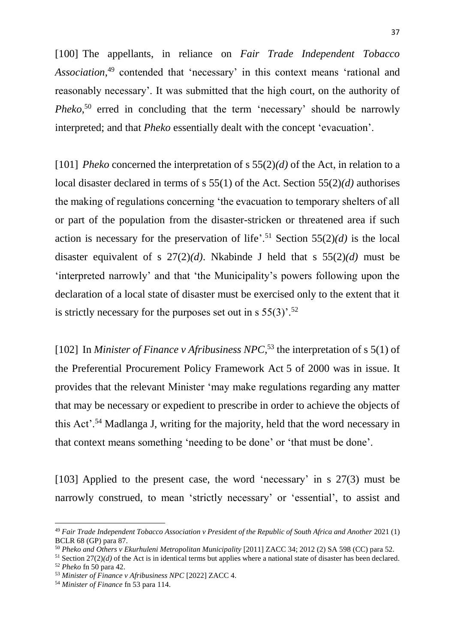[100] The appellants, in reliance on *Fair Trade Independent Tobacco Association*, <sup>49</sup> contended that 'necessary' in this context means 'rational and reasonably necessary'. It was submitted that the high court, on the authority of *Pheko*, <sup>50</sup> erred in concluding that the term 'necessary' should be narrowly interpreted; and that *Pheko* essentially dealt with the concept 'evacuation'.

[101] *Pheko* concerned the interpretation of s 55(2)*(d)* of the Act, in relation to a local disaster declared in terms of s 55(1) of the Act. Section 55(2)*(d)* authorises the making of regulations concerning 'the evacuation to temporary shelters of all or part of the population from the disaster-stricken or threatened area if such action is necessary for the preservation of life'.<sup>51</sup> Section  $55(2)(d)$  is the local disaster equivalent of s 27(2)*(d)*. Nkabinde J held that s 55(2)*(d)* must be 'interpreted narrowly' and that 'the Municipality's powers following upon the declaration of a local state of disaster must be exercised only to the extent that it is strictly necessary for the purposes set out in s  $55(3)$ .<sup>52</sup>

[102] In *Minister of Finance v Afribusiness NPC*,<sup>53</sup> the interpretation of s 5(1) of the [Preferential Procurement Policy Framework Act](http://www.saflii.org/za/legis/num_act/pppfa2000450/) 5 of 2000 was in issue. It provides that the relevant Minister 'may make regulations regarding any matter that may be necessary or expedient to prescribe in order to achieve the objects of this Act'.<sup>54</sup> Madlanga J, writing for the majority, held that the word necessary in that context means something 'needing to be done' or 'that must be done'.

[103] Applied to the present case, the word 'necessary' in s 27(3) must be narrowly construed, to mean 'strictly necessary' or 'essential', to assist and

<sup>49</sup> *Fair Trade Independent Tobacco Association v President of the Republic of South Africa and Another* 2021 (1) BCLR 68 (GP) para 87.

<sup>50</sup> *Pheko and Others v Ekurhuleni Metropolitan Municipality* [2011] ZACC 34; 2012 (2) SA 598 (CC) para 52.

 $51$  Section  $27(2)(d)$  of the Act is in identical terms but applies where a national state of disaster has been declared.

<sup>52</sup> *Pheko* fn 50 para 42.

<sup>53</sup> *Minister of Finance v Afribusiness NPC* [2022] ZACC 4.

<sup>54</sup> *Minister of Finance* fn 53 para 114.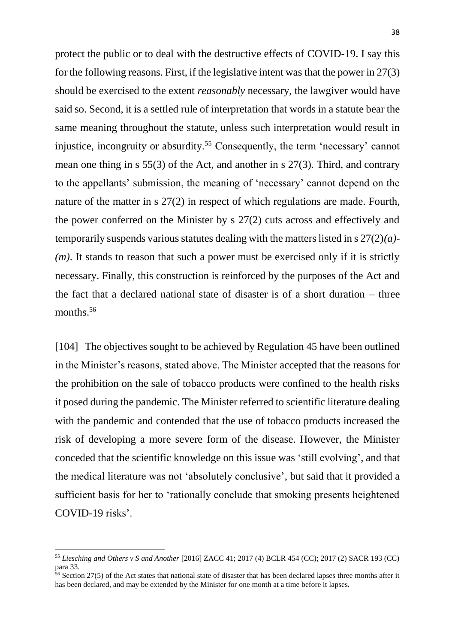protect the public or to deal with the destructive effects of COVID-19. I say this for the following reasons. First, if the legislative intent was that the power in 27(3) should be exercised to the extent *reasonably* necessary, the lawgiver would have said so. Second, it is a settled rule of interpretation that words in a statute bear the same meaning throughout the statute, unless such interpretation would result in injustice, incongruity or absurdity.<sup>55</sup> Consequently, the term 'necessary' cannot mean one thing in s 55(3) of the Act, and another in s 27(3)*.* Third, and contrary to the appellants' submission, the meaning of 'necessary' cannot depend on the nature of the matter in s 27(2) in respect of which regulations are made. Fourth, the power conferred on the Minister by s 27(2) cuts across and effectively and temporarily suspends various statutes dealing with the matters listed in s 27(2)*(a)*- *(m)*. It stands to reason that such a power must be exercised only if it is strictly necessary. Finally, this construction is reinforced by the purposes of the Act and the fact that a declared national state of disaster is of a short duration – three months. 56

[104] The objectives sought to be achieved by Regulation 45 have been outlined in the Minister's reasons, stated above. The Minister accepted that the reasons for the prohibition on the sale of tobacco products were confined to the health risks it posed during the pandemic. The Minister referred to scientific literature dealing with the pandemic and contended that the use of tobacco products increased the risk of developing a more severe form of the disease. However, the Minister conceded that the scientific knowledge on this issue was 'still evolving', and that the medical literature was not 'absolutely conclusive', but said that it provided a sufficient basis for her to 'rationally conclude that smoking presents heightened COVID-19 risks'.

<sup>55</sup> *Liesching and Others v S and Another* [2016] ZACC 41; 2017 (4) BCLR 454 (CC); 2017 (2) SACR 193 (CC) para 33.

 $\frac{1}{56}$  Section 27(5) of the Act states that national state of disaster that has been declared lapses three months after it has been declared, and may be extended by the Minister for one month at a time before it lapses.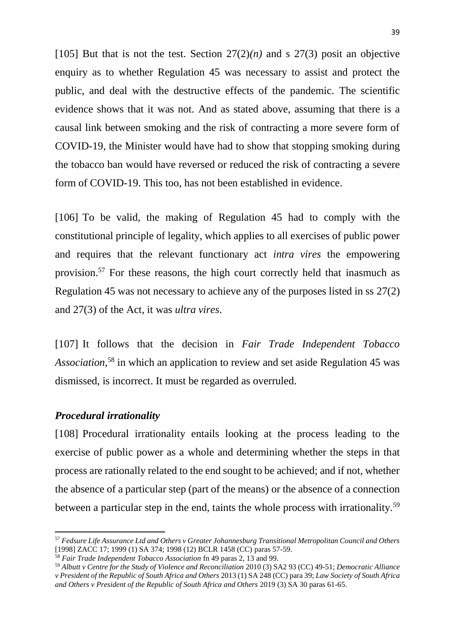[105] But that is not the test. Section  $27(2)(n)$  and s  $27(3)$  posit an objective enquiry as to whether Regulation 45 was necessary to assist and protect the public, and deal with the destructive effects of the pandemic. The scientific evidence shows that it was not. And as stated above, assuming that there is a causal link between smoking and the risk of contracting a more severe form of COVID-19, the Minister would have had to show that stopping smoking during the tobacco ban would have reversed or reduced the risk of contracting a severe form of COVID-19. This too, has not been established in evidence.

[106] To be valid, the making of Regulation 45 had to comply with the constitutional principle of legality, which applies to all exercises of public power and requires that the relevant functionary act *intra vires* the empowering provision. <sup>57</sup> For these reasons, the high court correctly held that inasmuch as Regulation 45 was not necessary to achieve any of the purposes listed in ss 27(2) and 27(3) of the Act, it was *ultra vires*.

[107] It follows that the decision in *Fair Trade Independent Tobacco Association*, <sup>58</sup> in which an application to review and set aside Regulation 45 was dismissed, is incorrect. It must be regarded as overruled.

#### *Procedural irrationality*

1

[108] Procedural irrationality entails looking at the process leading to the exercise of public power as a whole and determining whether the steps in that process are rationally related to the end sought to be achieved; and if not, whether the absence of a particular step (part of the means) or the absence of a connection between a particular step in the end, taints the whole process with irrationality.<sup>59</sup>

<sup>57</sup> *Fedsure Life Assurance Ltd and Others v Greater Johannesburg Transitional Metropolitan Council and Others* [1998] ZACC 17; 1999 (1) SA 374; 1998 (12) BCLR 1458 (CC) paras 57-59.

<sup>58</sup> *Fair Trade Independent Tobacco Association* fn 49 paras 2, 13 and 99.

<sup>59</sup> *Albutt v Centre for the Study of Violence and Reconciliation* 2010 (3) SA2 93 (CC) 49-51; *Democratic Alliance v President of the Republic of South Africa and Others* 2013 (1) SA 248 (CC) para 39; *Law Society of South Africa and Others v President of the Republic of South Africa and Others* 2019 (3) SA 30 paras 61-65.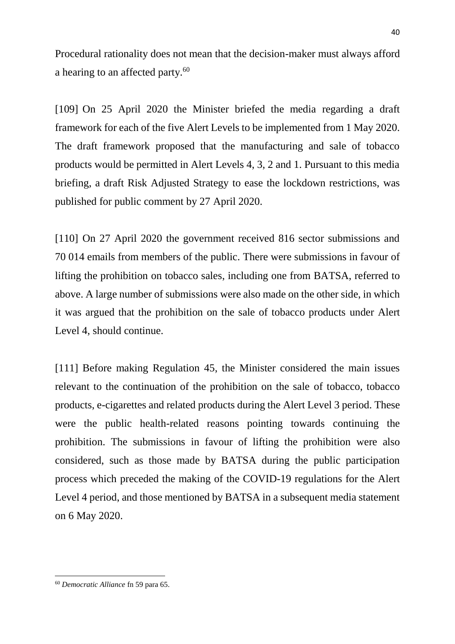Procedural rationality does not mean that the decision-maker must always afford a hearing to an affected party.<sup>60</sup>

[109] On 25 April 2020 the Minister briefed the media regarding a draft framework for each of the five Alert Levels to be implemented from 1 May 2020. The draft framework proposed that the manufacturing and sale of tobacco products would be permitted in Alert Levels 4, 3, 2 and 1. Pursuant to this media briefing, a draft Risk Adjusted Strategy to ease the lockdown restrictions, was published for public comment by 27 April 2020.

[110] On 27 April 2020 the government received 816 sector submissions and 70 014 emails from members of the public. There were submissions in favour of lifting the prohibition on tobacco sales, including one from BATSA, referred to above. A large number of submissions were also made on the other side, in which it was argued that the prohibition on the sale of tobacco products under Alert Level 4, should continue.

[111] Before making Regulation 45, the Minister considered the main issues relevant to the continuation of the prohibition on the sale of tobacco, tobacco products, e-cigarettes and related products during the Alert Level 3 period. These were the public health-related reasons pointing towards continuing the prohibition. The submissions in favour of lifting the prohibition were also considered, such as those made by BATSA during the public participation process which preceded the making of the COVID-19 regulations for the Alert Level 4 period, and those mentioned by BATSA in a subsequent media statement on 6 May 2020.

**<sup>.</sup>** <sup>60</sup> *Democratic Alliance* fn 59 para 65.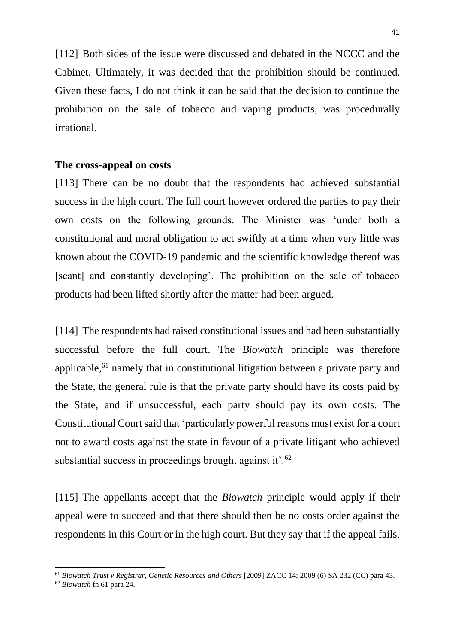[112] Both sides of the issue were discussed and debated in the NCCC and the Cabinet. Ultimately, it was decided that the prohibition should be continued. Given these facts, I do not think it can be said that the decision to continue the prohibition on the sale of tobacco and vaping products, was procedurally irrational.

#### **The cross-appeal on costs**

[113] There can be no doubt that the respondents had achieved substantial success in the high court. The full court however ordered the parties to pay their own costs on the following grounds. The Minister was 'under both a constitutional and moral obligation to act swiftly at a time when very little was known about the COVID-19 pandemic and the scientific knowledge thereof was [scant] and constantly developing'. The prohibition on the sale of tobacco products had been lifted shortly after the matter had been argued.

[114] The respondents had raised constitutional issues and had been substantially successful before the full court. The *Biowatch* principle was therefore applicable,<sup>61</sup> namely that in constitutional litigation between a private party and the State, the general rule is that the private party should have its costs paid by the State, and if unsuccessful, each party should pay its own costs. The Constitutional Court said that 'particularly powerful reasons must exist for a court not to award costs against the state in favour of a private litigant who achieved substantial success in proceedings brought against it'.<sup>62</sup>

[115] The appellants accept that the *Biowatch* principle would apply if their appeal were to succeed and that there should then be no costs order against the respondents in this Court or in the high court. But they say that if the appeal fails,

<sup>61</sup> *Biowatch Trust v Registrar, Genetic Resources and Others* [2009] ZACC 14; 2009 (6) SA 232 (CC) para 43.

<sup>62</sup> *Biowatch* fn 61 para 24.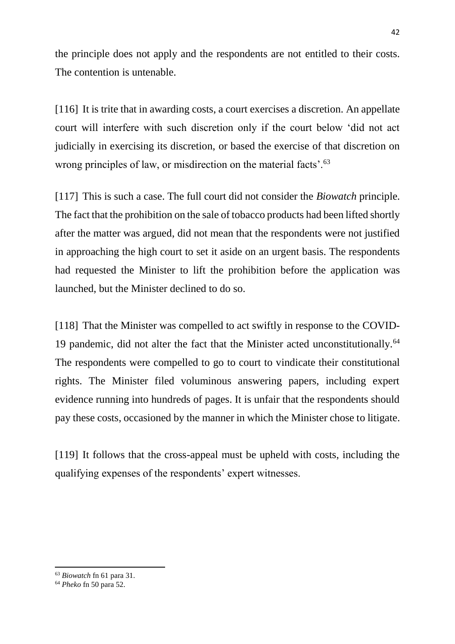the principle does not apply and the respondents are not entitled to their costs. The contention is untenable.

[116] It is trite that in awarding costs, a court exercises a discretion. An appellate court will interfere with such discretion only if the court below 'did not act judicially in exercising its discretion, or based the exercise of that discretion on wrong principles of law, or misdirection on the material facts'.<sup>63</sup>

[117] This is such a case. The full court did not consider the *Biowatch* principle. The fact that the prohibition on the sale of tobacco products had been lifted shortly after the matter was argued, did not mean that the respondents were not justified in approaching the high court to set it aside on an urgent basis. The respondents had requested the Minister to lift the prohibition before the application was launched, but the Minister declined to do so.

[118] That the Minister was compelled to act swiftly in response to the COVID-19 pandemic, did not alter the fact that the Minister acted unconstitutionally.<sup>64</sup> The respondents were compelled to go to court to vindicate their constitutional rights. The Minister filed voluminous answering papers, including expert evidence running into hundreds of pages. It is unfair that the respondents should pay these costs, occasioned by the manner in which the Minister chose to litigate.

[119] It follows that the cross-appeal must be upheld with costs, including the qualifying expenses of the respondents' expert witnesses.

**<sup>.</sup>** <sup>63</sup> *Biowatch* fn 61 para 31.

<sup>64</sup> *Pheko* fn 50 para 52.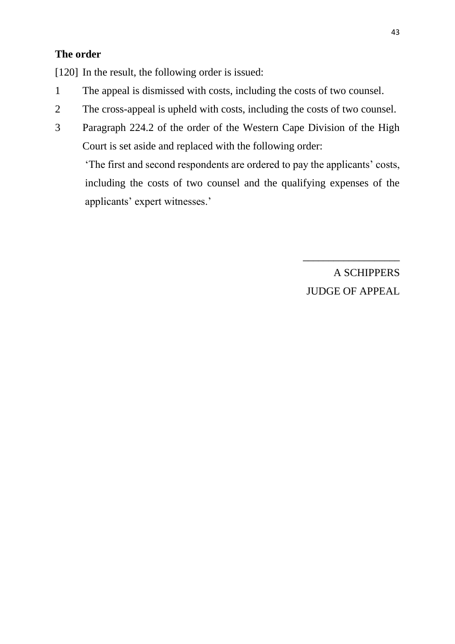### **The order**

[120] In the result, the following order is issued:

- 1 The appeal is dismissed with costs, including the costs of two counsel.
- 2 The cross-appeal is upheld with costs, including the costs of two counsel.
- 3 Paragraph 224.2 of the order of the Western Cape Division of the High Court is set aside and replaced with the following order:

'The first and second respondents are ordered to pay the applicants' costs, including the costs of two counsel and the qualifying expenses of the applicants' expert witnesses.'

> A SCHIPPERS JUDGE OF APPEAL

\_\_\_\_\_\_\_\_\_\_\_\_\_\_\_\_\_\_\_